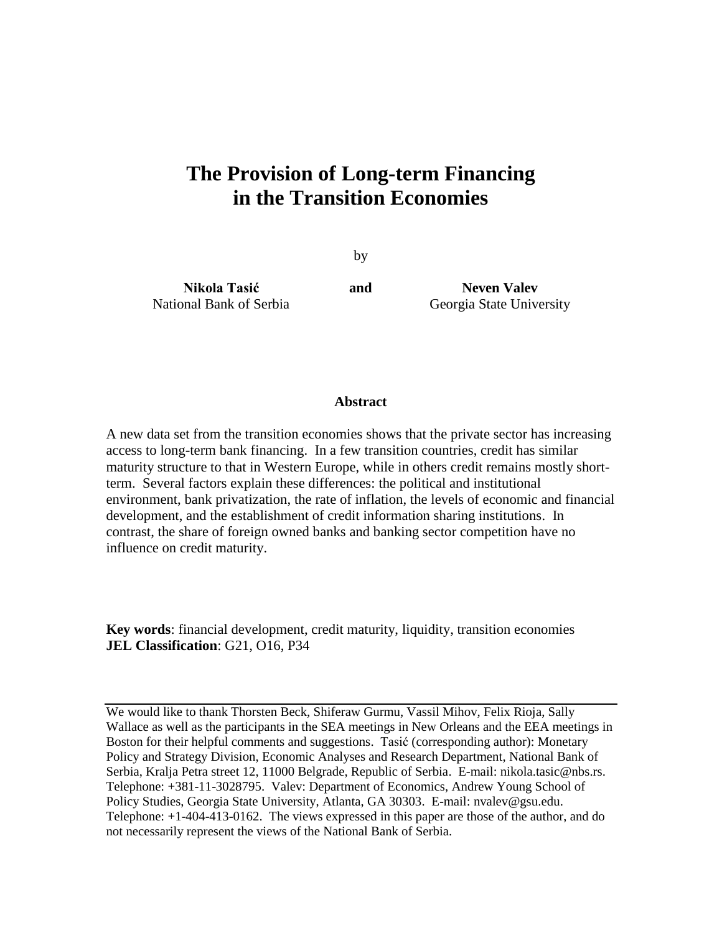# **The Provision of Long-term Financing in the Transition Economies**

by

**Nikola Tasić** National Bank of Serbia

**and Neven Valev** Georgia State University

### **Abstract**

A new data set from the transition economies shows that the private sector has increasing access to long-term bank financing. In a few transition countries, credit has similar maturity structure to that in Western Europe, while in others credit remains mostly shortterm. Several factors explain these differences: the political and institutional environment, bank privatization, the rate of inflation, the levels of economic and financial development, and the establishment of credit information sharing institutions. In contrast, the share of foreign owned banks and banking sector competition have no influence on credit maturity.

**Key words**: financial development, credit maturity, liquidity, transition economies **JEL Classification**: G21, O16, P34

We would like to thank Thorsten Beck, Shiferaw Gurmu, Vassil Mihov, Felix Rioja, Sally Wallace as well as the participants in the SEA meetings in New Orleans and the EEA meetings in Boston for their helpful comments and suggestions. Tasić (corresponding author): Monetary Policy and Strategy Division, Economic Analyses and Research Department, National Bank of Serbia, Kralja Petra street 12, 11000 Belgrade, Republic of Serbia. E-mail: [nikola.tasic@nbs.rs.](mailto:nikola.tasic@nbs.rs) Telephone: +381-11-3028795. Valev: Department of Economics, Andrew Young School of Policy Studies, Georgia State University, Atlanta, GA 30303. E-mail: [nvalev@gsu.edu.](mailto:nvalev@gsu.edu) Telephone: +1-404-413-0162. The views expressed in this paper are those of the author, and do not necessarily represent the views of the National Bank of Serbia.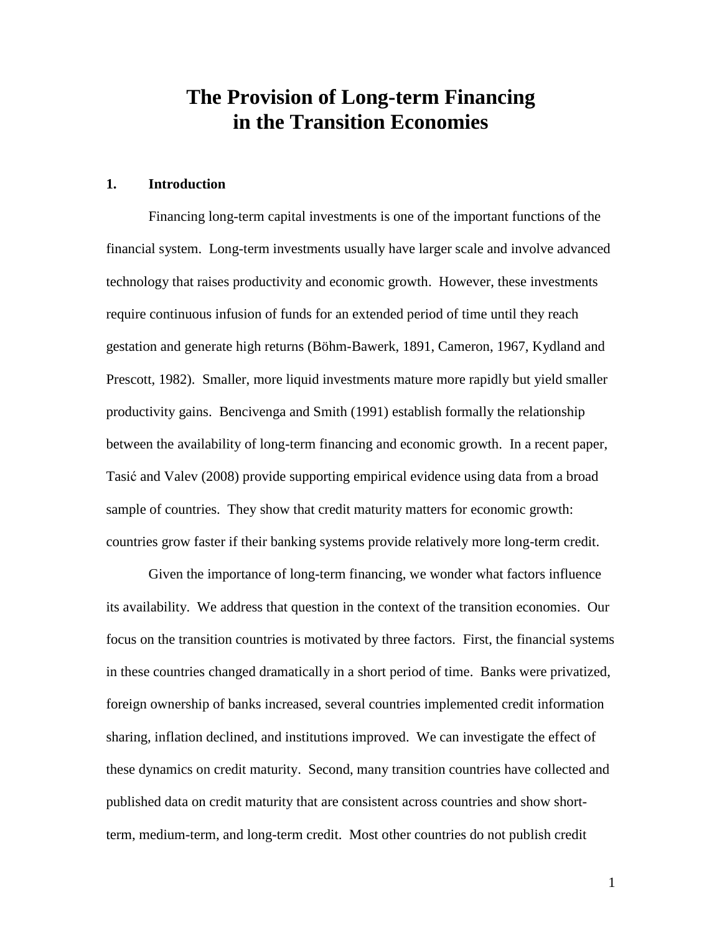# **The Provision of Long-term Financing in the Transition Economies**

#### **1. Introduction**

Financing long-term capital investments is one of the important functions of the financial system. Long-term investments usually have larger scale and involve advanced technology that raises productivity and economic growth. However, these investments require continuous infusion of funds for an extended period of time until they reach gestation and generate high returns (Böhm-Bawerk, 1891, Cameron, 1967, Kydland and Prescott, 1982). Smaller, more liquid investments mature more rapidly but yield smaller productivity gains. Bencivenga and Smith (1991) establish formally the relationship between the availability of long-term financing and economic growth. In a recent paper, Tasić and Valev (2008) provide supporting empirical evidence using data from a broad sample of countries. They show that credit maturity matters for economic growth: countries grow faster if their banking systems provide relatively more long-term credit.

Given the importance of long-term financing, we wonder what factors influence its availability. We address that question in the context of the transition economies. Our focus on the transition countries is motivated by three factors. First, the financial systems in these countries changed dramatically in a short period of time. Banks were privatized, foreign ownership of banks increased, several countries implemented credit information sharing, inflation declined, and institutions improved. We can investigate the effect of these dynamics on credit maturity. Second, many transition countries have collected and published data on credit maturity that are consistent across countries and show shortterm, medium-term, and long-term credit. Most other countries do not publish credit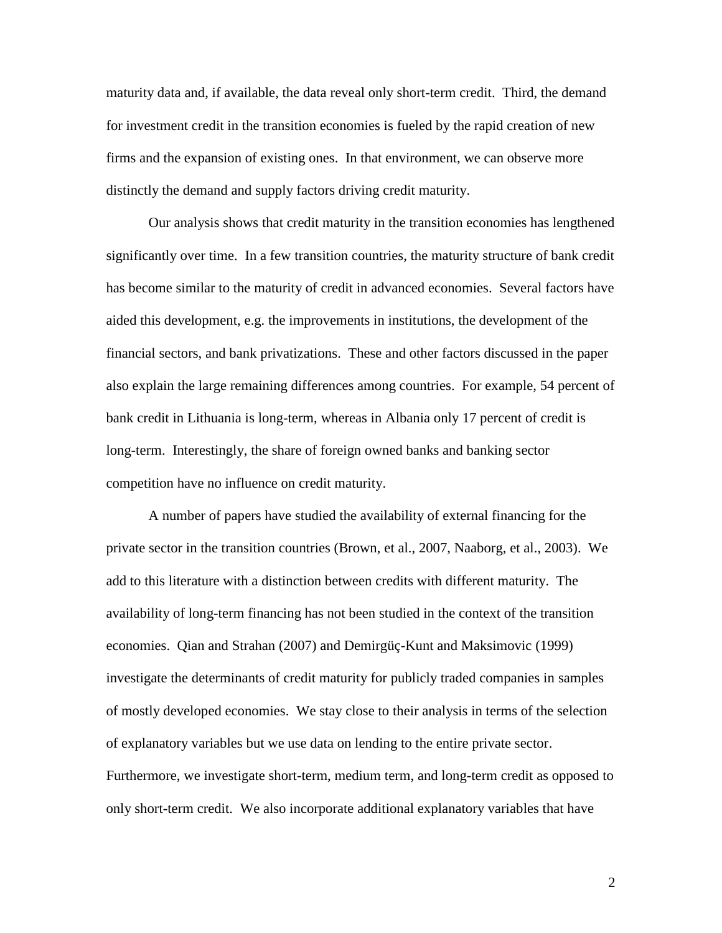maturity data and, if available, the data reveal only short-term credit. Third, the demand for investment credit in the transition economies is fueled by the rapid creation of new firms and the expansion of existing ones. In that environment, we can observe more distinctly the demand and supply factors driving credit maturity.

Our analysis shows that credit maturity in the transition economies has lengthened significantly over time. In a few transition countries, the maturity structure of bank credit has become similar to the maturity of credit in advanced economies. Several factors have aided this development, e.g. the improvements in institutions, the development of the financial sectors, and bank privatizations. These and other factors discussed in the paper also explain the large remaining differences among countries. For example, 54 percent of bank credit in Lithuania is long-term, whereas in Albania only 17 percent of credit is long-term. Interestingly, the share of foreign owned banks and banking sector competition have no influence on credit maturity.

A number of papers have studied the availability of external financing for the private sector in the transition countries (Brown, et al., 2007, Naaborg, et al., 2003). We add to this literature with a distinction between credits with different maturity. The availability of long-term financing has not been studied in the context of the transition economies. Qian and Strahan (2007) and Demirgüç-Kunt and Maksimovic (1999) investigate the determinants of credit maturity for publicly traded companies in samples of mostly developed economies. We stay close to their analysis in terms of the selection of explanatory variables but we use data on lending to the entire private sector. Furthermore, we investigate short-term, medium term, and long-term credit as opposed to only short-term credit. We also incorporate additional explanatory variables that have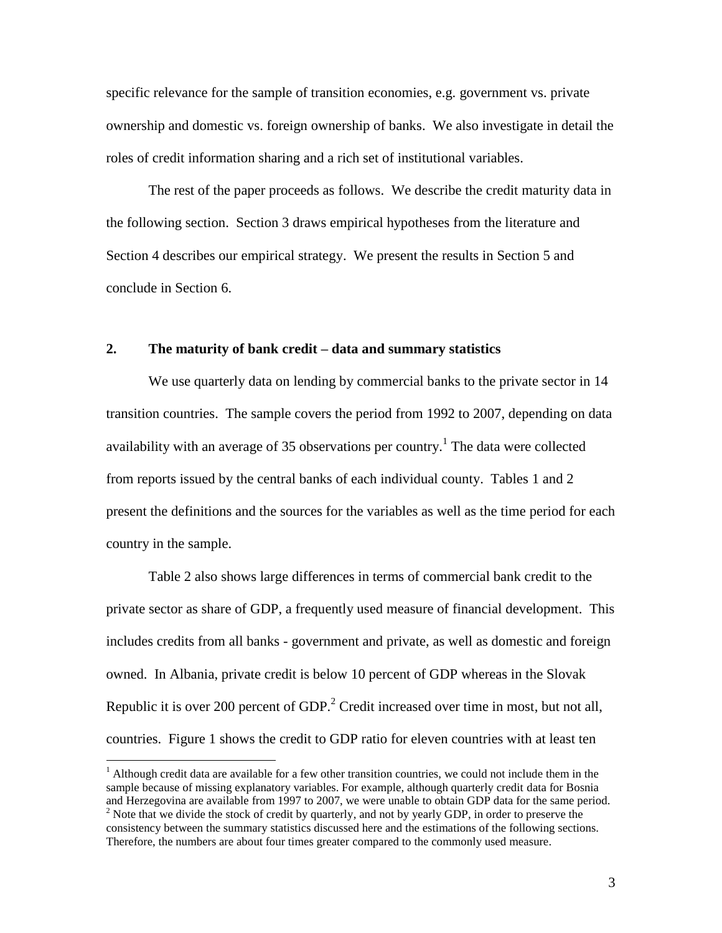specific relevance for the sample of transition economies, e.g. government vs. private ownership and domestic vs. foreign ownership of banks. We also investigate in detail the roles of credit information sharing and a rich set of institutional variables.

The rest of the paper proceeds as follows. We describe the credit maturity data in the following section. Section 3 draws empirical hypotheses from the literature and Section 4 describes our empirical strategy. We present the results in Section 5 and conclude in Section 6.

### **2. The maturity of bank credit – data and summary statistics**

We use quarterly data on lending by commercial banks to the private sector in 14 transition countries. The sample covers the period from 1992 to 2007, depending on data availability with an average of 35 observations per country.<sup>1</sup> The data were collected from reports issued by the central banks of each individual county. Tables 1 and 2 present the definitions and the sources for the variables as well as the time period for each country in the sample.

Table 2 also shows large differences in terms of commercial bank credit to the private sector as share of GDP, a frequently used measure of financial development. This includes credits from all banks - government and private, as well as domestic and foreign owned. In Albania, private credit is below 10 percent of GDP whereas in the Slovak Republic it is over 200 percent of GDP.<sup>2</sup> Credit increased over time in most, but not all, countries. Figure 1 shows the credit to GDP ratio for eleven countries with at least ten

 $\overline{a}$ 

 $<sup>1</sup>$  Although credit data are available for a few other transition countries, we could not include them in the</sup> sample because of missing explanatory variables. For example, although quarterly credit data for Bosnia and Herzegovina are available from 1997 to 2007, we were unable to obtain GDP data for the same period. <sup>2</sup> Note that we divide the stock of credit by quarterly, and not by yearly GDP, in order to preserve the consistency between the summary statistics discussed here and the estimations of the following sections. Therefore, the numbers are about four times greater compared to the commonly used measure.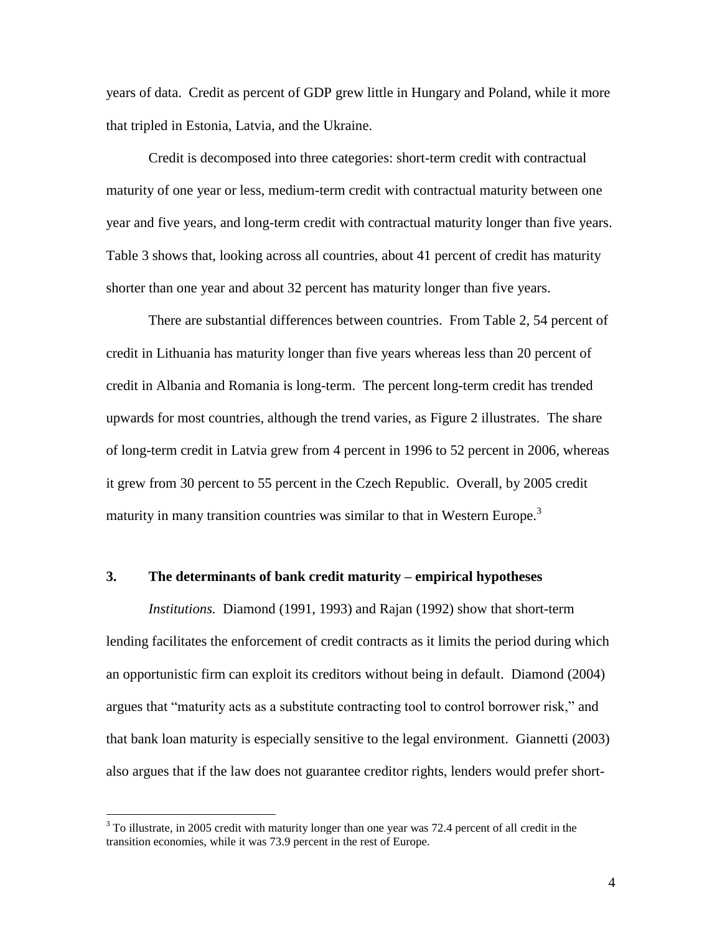years of data. Credit as percent of GDP grew little in Hungary and Poland, while it more that tripled in Estonia, Latvia, and the Ukraine.

Credit is decomposed into three categories: short-term credit with contractual maturity of one year or less, medium-term credit with contractual maturity between one year and five years, and long-term credit with contractual maturity longer than five years. Table 3 shows that, looking across all countries, about 41 percent of credit has maturity shorter than one year and about 32 percent has maturity longer than five years.

There are substantial differences between countries. From Table 2, 54 percent of credit in Lithuania has maturity longer than five years whereas less than 20 percent of credit in Albania and Romania is long-term. The percent long-term credit has trended upwards for most countries, although the trend varies, as Figure 2 illustrates. The share of long-term credit in Latvia grew from 4 percent in 1996 to 52 percent in 2006, whereas it grew from 30 percent to 55 percent in the Czech Republic. Overall, by 2005 credit maturity in many transition countries was similar to that in Western Europe.<sup>3</sup>

# **3. The determinants of bank credit maturity – empirical hypotheses**

*Institutions.* Diamond (1991, 1993) and Rajan (1992) show that short-term lending facilitates the enforcement of credit contracts as it limits the period during which an opportunistic firm can exploit its creditors without being in default. Diamond (2004) argues that "maturity acts as a substitute contracting tool to control borrower risk," and that bank loan maturity is especially sensitive to the legal environment. Giannetti (2003) also argues that if the law does not guarantee creditor rights, lenders would prefer short-

 $\overline{a}$ 

<sup>&</sup>lt;sup>3</sup> To illustrate, in 2005 credit with maturity longer than one year was 72.4 percent of all credit in the transition economies, while it was 73.9 percent in the rest of Europe.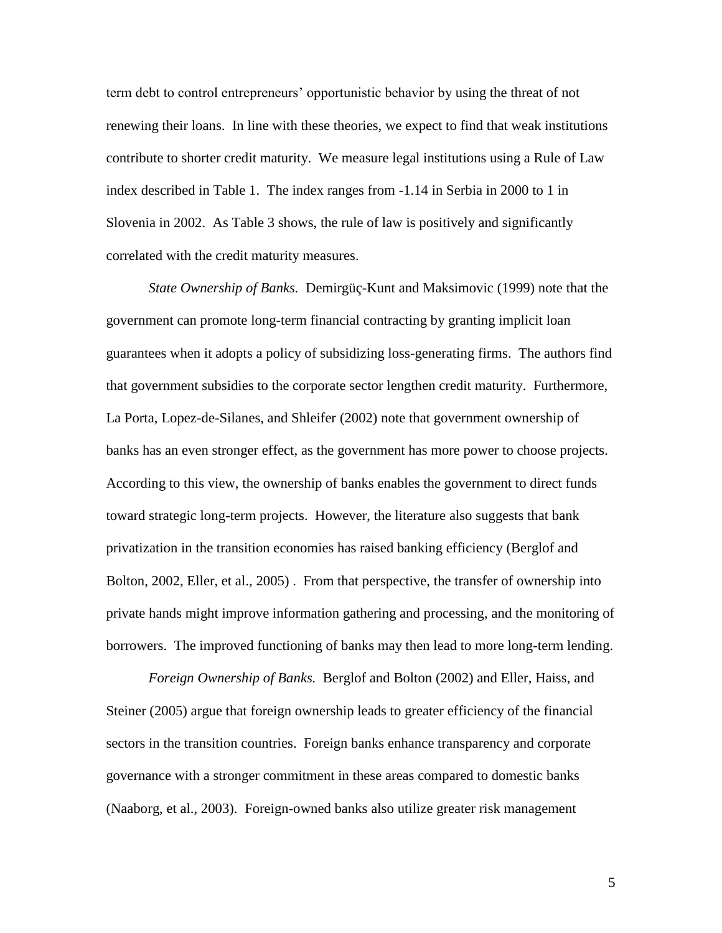term debt to control entrepreneurs' opportunistic behavior by using the threat of not renewing their loans. In line with these theories, we expect to find that weak institutions contribute to shorter credit maturity. We measure legal institutions using a Rule of Law index described in Table 1. The index ranges from -1.14 in Serbia in 2000 to 1 in Slovenia in 2002. As Table 3 shows, the rule of law is positively and significantly correlated with the credit maturity measures.

*State Ownership of Banks.* Demirgüç-Kunt and Maksimovic (1999) note that the government can promote long-term financial contracting by granting implicit loan guarantees when it adopts a policy of subsidizing loss-generating firms. The authors find that government subsidies to the corporate sector lengthen credit maturity. Furthermore, La Porta, Lopez-de-Silanes, and Shleifer (2002) note that government ownership of banks has an even stronger effect, as the government has more power to choose projects. According to this view, the ownership of banks enables the government to direct funds toward strategic long-term projects. However, the literature also suggests that bank privatization in the transition economies has raised banking efficiency (Berglof and Bolton, 2002, Eller, et al., 2005) . From that perspective, the transfer of ownership into private hands might improve information gathering and processing, and the monitoring of borrowers. The improved functioning of banks may then lead to more long-term lending.

*Foreign Ownership of Banks.* Berglof and Bolton (2002) and Eller, Haiss, and Steiner (2005) argue that foreign ownership leads to greater efficiency of the financial sectors in the transition countries. Foreign banks enhance transparency and corporate governance with a stronger commitment in these areas compared to domestic banks (Naaborg, et al., 2003). Foreign-owned banks also utilize greater risk management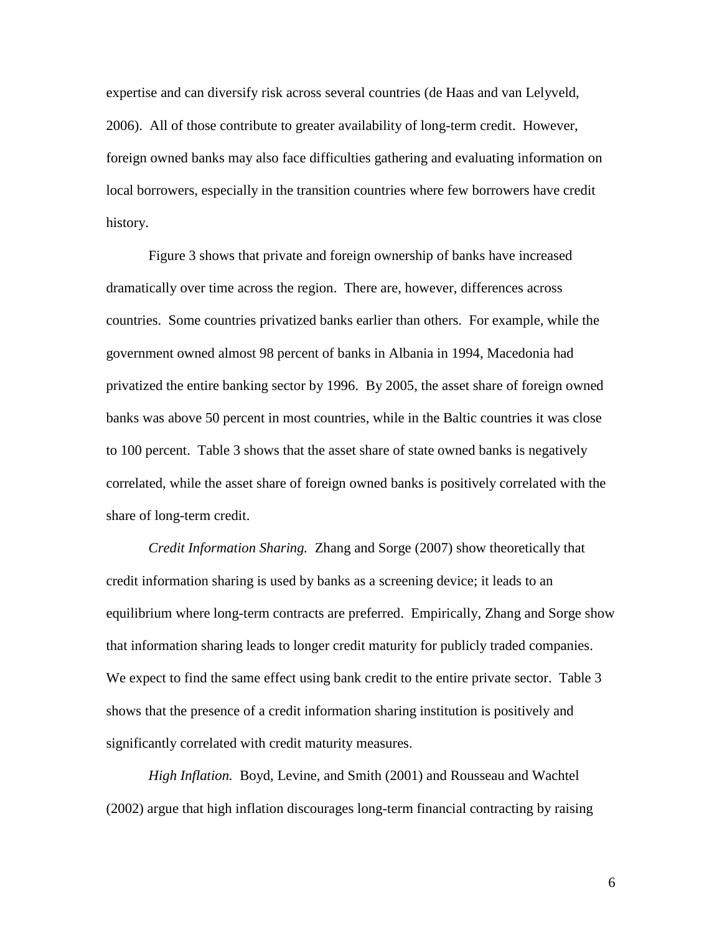expertise and can diversify risk across several countries (de Haas and van Lelyveld, 2006). All of those contribute to greater availability of long-term credit. However, foreign owned banks may also face difficulties gathering and evaluating information on local borrowers, especially in the transition countries where few borrowers have credit history.

Figure 3 shows that private and foreign ownership of banks have increased dramatically over time across the region. There are, however, differences across countries. Some countries privatized banks earlier than others. For example, while the government owned almost 98 percent of banks in Albania in 1994, Macedonia had privatized the entire banking sector by 1996. By 2005, the asset share of foreign owned banks was above 50 percent in most countries, while in the Baltic countries it was close to 100 percent. Table 3 shows that the asset share of state owned banks is negatively correlated, while the asset share of foreign owned banks is positively correlated with the share of long-term credit.

*Credit Information Sharing.* Zhang and Sorge (2007) show theoretically that credit information sharing is used by banks as a screening device; it leads to an equilibrium where long-term contracts are preferred. Empirically, Zhang and Sorge show that information sharing leads to longer credit maturity for publicly traded companies. We expect to find the same effect using bank credit to the entire private sector. Table 3 shows that the presence of a credit information sharing institution is positively and significantly correlated with credit maturity measures.

*High Inflation.* Boyd, Levine, and Smith (2001) and Rousseau and Wachtel (2002) argue that high inflation discourages long-term financial contracting by raising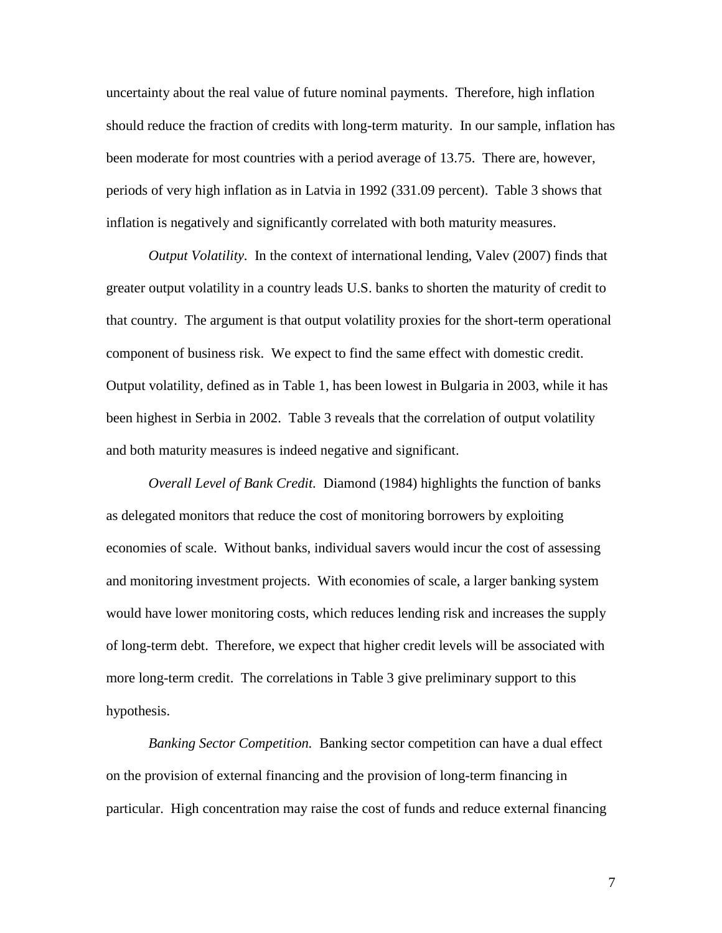uncertainty about the real value of future nominal payments. Therefore, high inflation should reduce the fraction of credits with long-term maturity. In our sample, inflation has been moderate for most countries with a period average of 13.75. There are, however, periods of very high inflation as in Latvia in 1992 (331.09 percent). Table 3 shows that inflation is negatively and significantly correlated with both maturity measures.

*Output Volatility.* In the context of international lending, Valev (2007) finds that greater output volatility in a country leads U.S. banks to shorten the maturity of credit to that country. The argument is that output volatility proxies for the short-term operational component of business risk. We expect to find the same effect with domestic credit. Output volatility, defined as in Table 1, has been lowest in Bulgaria in 2003, while it has been highest in Serbia in 2002. Table 3 reveals that the correlation of output volatility and both maturity measures is indeed negative and significant.

*Overall Level of Bank Credit.* Diamond (1984) highlights the function of banks as delegated monitors that reduce the cost of monitoring borrowers by exploiting economies of scale. Without banks, individual savers would incur the cost of assessing and monitoring investment projects. With economies of scale, a larger banking system would have lower monitoring costs, which reduces lending risk and increases the supply of long-term debt. Therefore, we expect that higher credit levels will be associated with more long-term credit. The correlations in Table 3 give preliminary support to this hypothesis.

*Banking Sector Competition.* Banking sector competition can have a dual effect on the provision of external financing and the provision of long-term financing in particular. High concentration may raise the cost of funds and reduce external financing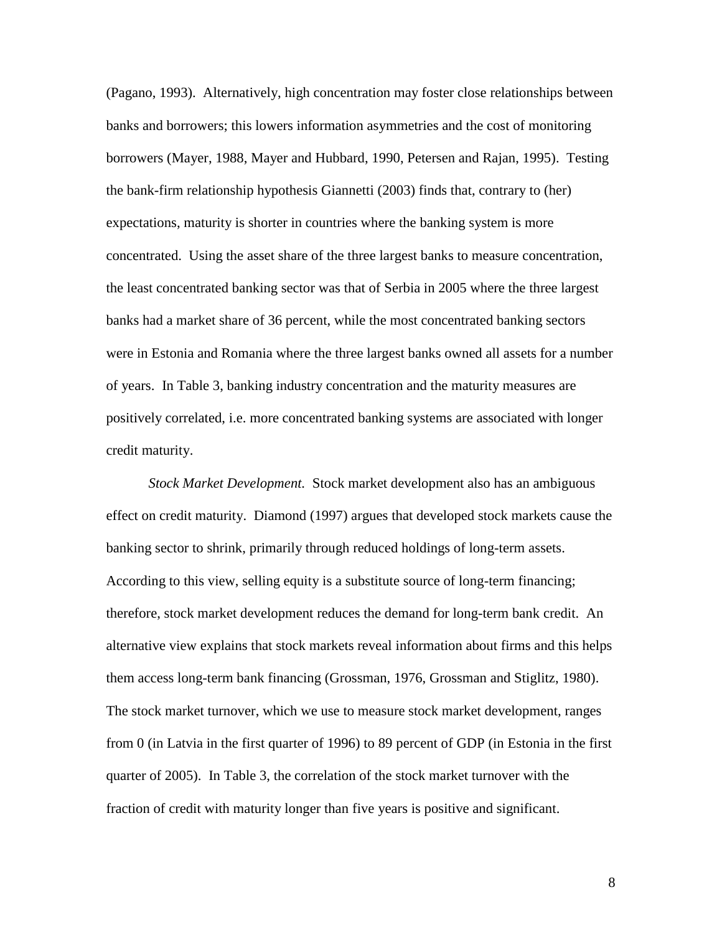(Pagano, 1993). Alternatively, high concentration may foster close relationships between banks and borrowers; this lowers information asymmetries and the cost of monitoring borrowers (Mayer, 1988, Mayer and Hubbard, 1990, Petersen and Rajan, 1995). Testing the bank-firm relationship hypothesis Giannetti (2003) finds that, contrary to (her) expectations, maturity is shorter in countries where the banking system is more concentrated. Using the asset share of the three largest banks to measure concentration, the least concentrated banking sector was that of Serbia in 2005 where the three largest banks had a market share of 36 percent, while the most concentrated banking sectors were in Estonia and Romania where the three largest banks owned all assets for a number of years. In Table 3, banking industry concentration and the maturity measures are positively correlated, i.e. more concentrated banking systems are associated with longer credit maturity.

*Stock Market Development.* Stock market development also has an ambiguous effect on credit maturity. Diamond (1997) argues that developed stock markets cause the banking sector to shrink, primarily through reduced holdings of long-term assets. According to this view, selling equity is a substitute source of long-term financing; therefore, stock market development reduces the demand for long-term bank credit. An alternative view explains that stock markets reveal information about firms and this helps them access long-term bank financing (Grossman, 1976, Grossman and Stiglitz, 1980). The stock market turnover, which we use to measure stock market development, ranges from 0 (in Latvia in the first quarter of 1996) to 89 percent of GDP (in Estonia in the first quarter of 2005). In Table 3, the correlation of the stock market turnover with the fraction of credit with maturity longer than five years is positive and significant.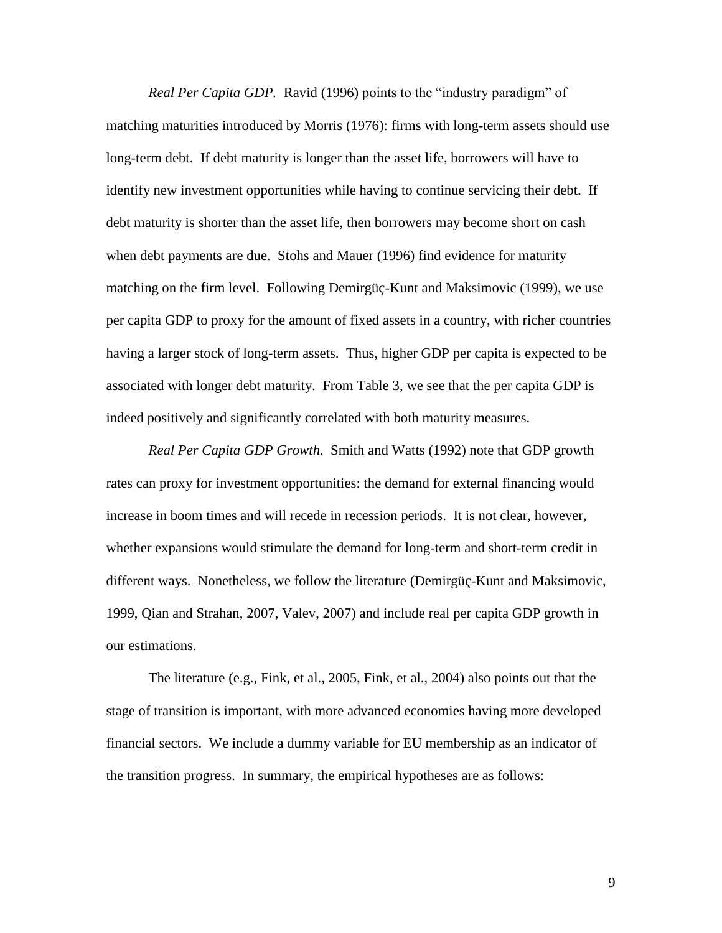*Real Per Capita GDP.* Ravid (1996) points to the "industry paradigm" of matching maturities introduced by Morris (1976): firms with long-term assets should use long-term debt. If debt maturity is longer than the asset life, borrowers will have to identify new investment opportunities while having to continue servicing their debt. If debt maturity is shorter than the asset life, then borrowers may become short on cash when debt payments are due. Stohs and Mauer (1996) find evidence for maturity matching on the firm level. Following Demirgüç-Kunt and Maksimovic (1999), we use per capita GDP to proxy for the amount of fixed assets in a country, with richer countries having a larger stock of long-term assets. Thus, higher GDP per capita is expected to be associated with longer debt maturity. From Table 3, we see that the per capita GDP is indeed positively and significantly correlated with both maturity measures.

*Real Per Capita GDP Growth.* Smith and Watts (1992) note that GDP growth rates can proxy for investment opportunities: the demand for external financing would increase in boom times and will recede in recession periods. It is not clear, however, whether expansions would stimulate the demand for long-term and short-term credit in different ways. Nonetheless, we follow the literature (Demirgüç-Kunt and Maksimovic, 1999, Qian and Strahan, 2007, Valev, 2007) and include real per capita GDP growth in our estimations.

The literature (e.g., Fink, et al., 2005, Fink, et al., 2004) also points out that the stage of transition is important, with more advanced economies having more developed financial sectors. We include a dummy variable for EU membership as an indicator of the transition progress. In summary, the empirical hypotheses are as follows: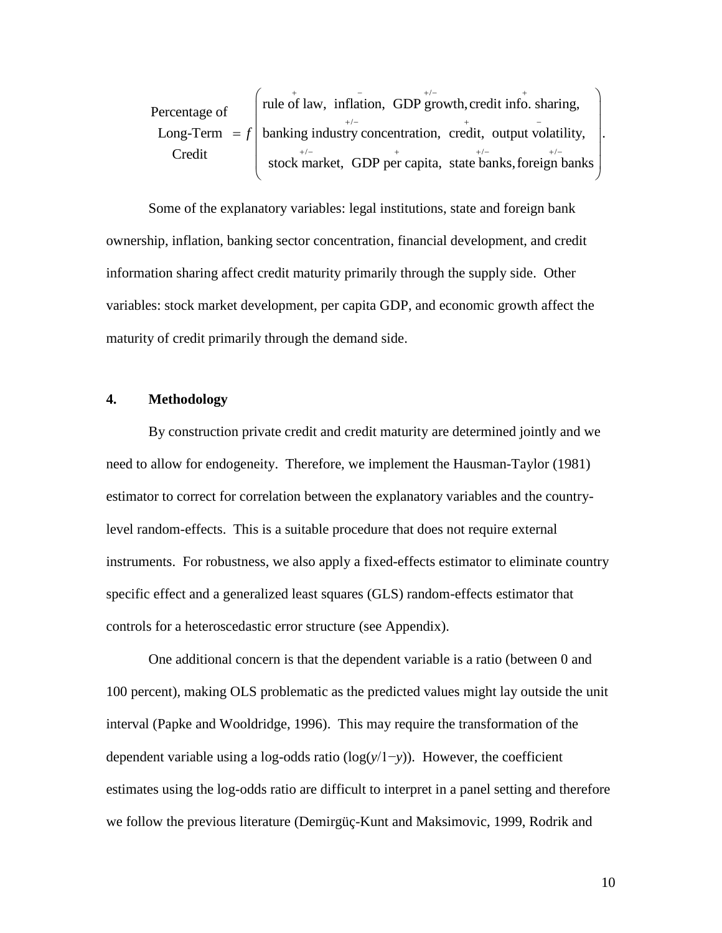/ / / Percentage of  $\int$  rule of law, inflation, GDP growth, credit info. sharing, Percentage of  $\begin{bmatrix} \text{rule of law, inflation, GDP growth, credit info. sharing,} \\ \text{Long-Term} = f \end{bmatrix}$  banking industry concentration, credit, output volatility, centage of<br>
mg-Term = f banking industry concentration, credit, ou<br>
Credit stock market, GDP per capita, state bank  $f = f \left( \frac{1}{2} \frac{1}{2} \right)$  banking industry concentration,  $\frac{1}{\sqrt{1+\frac{1}{2}}}\int_{0}^{+\infty}$  $\left(\begin{array}{ccc}\n\text{rule of law, inflation, GDP} & \text{if } 0 \\
\text{rule of law, inflation, GDP} & \text{if } 0\n\end{array}\right)$ rule of law, inflation, GDP growth, credit info. sharing,<br>banking industry concentration, credit, output volatility,<br>stock market, GDP per capita, state banks, foreign banks The same of law, inflation, GDP growth, credit info. sharing,<br>banking industry concentration, credit, output volatility, Trule of law, inflation, GDP growth, credit info. sharing,<br>banking industry concentration, credit, output volatility, banking industry concentration, credit, output volatility,<br>stock market, GDP per capita, state banks, foreign banks

Some of the explanatory variables: legal institutions, state and foreign bank ownership, inflation, banking sector concentration, financial development, and credit information sharing affect credit maturity primarily through the supply side. Other variables: stock market development, per capita GDP, and economic growth affect the maturity of credit primarily through the demand side.

#### **4. Methodology**

By construction private credit and credit maturity are determined jointly and we need to allow for endogeneity. Therefore, we implement the Hausman-Taylor (1981) estimator to correct for correlation between the explanatory variables and the countrylevel random-effects. This is a suitable procedure that does not require external instruments. For robustness, we also apply a fixed-effects estimator to eliminate country specific effect and a generalized least squares (GLS) random-effects estimator that controls for a heteroscedastic error structure (see Appendix).

One additional concern is that the dependent variable is a ratio (between 0 and 100 percent), making OLS problematic as the predicted values might lay outside the unit interval (Papke and Wooldridge, 1996). This may require the transformation of the dependent variable using a log-odds ratio (log(*y*/1−*y*)). However, the coefficient estimates using the log-odds ratio are difficult to interpret in a panel setting and therefore we follow the previous literature (Demirgüç-Kunt and Maksimovic, 1999, Rodrik and

10

.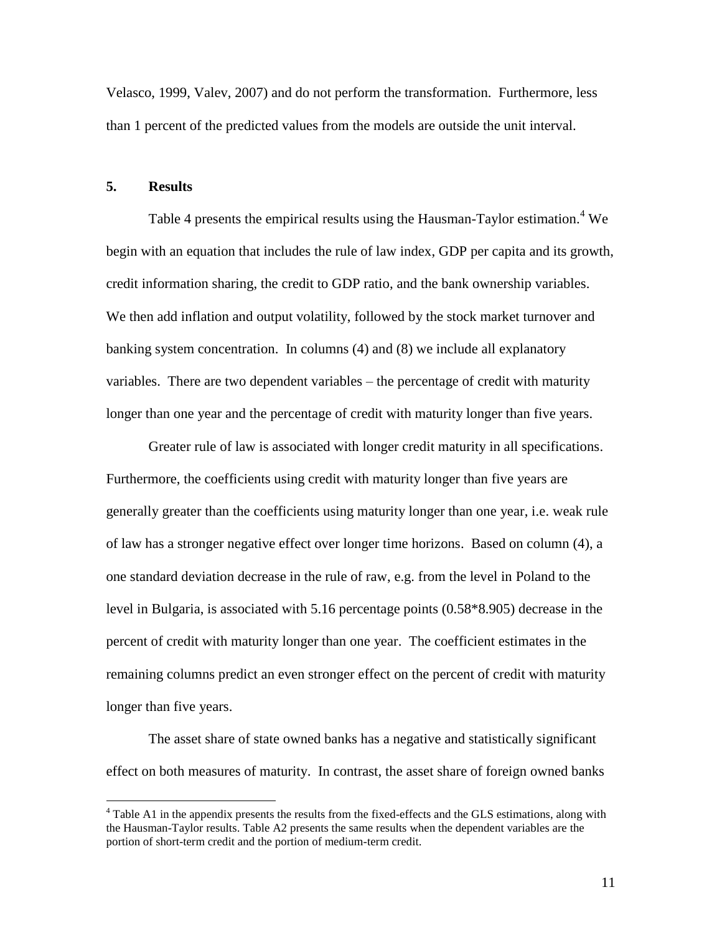Velasco, 1999, Valev, 2007) and do not perform the transformation. Furthermore, less than 1 percent of the predicted values from the models are outside the unit interval.

#### **5. Results**

 $\overline{a}$ 

Table 4 presents the empirical results using the Hausman-Taylor estimation.<sup>4</sup> We begin with an equation that includes the rule of law index, GDP per capita and its growth, credit information sharing, the credit to GDP ratio, and the bank ownership variables. We then add inflation and output volatility, followed by the stock market turnover and banking system concentration. In columns (4) and (8) we include all explanatory variables. There are two dependent variables – the percentage of credit with maturity longer than one year and the percentage of credit with maturity longer than five years.

Greater rule of law is associated with longer credit maturity in all specifications. Furthermore, the coefficients using credit with maturity longer than five years are generally greater than the coefficients using maturity longer than one year, i.e. weak rule of law has a stronger negative effect over longer time horizons. Based on column (4), a one standard deviation decrease in the rule of raw, e.g. from the level in Poland to the level in Bulgaria, is associated with 5.16 percentage points (0.58\*8.905) decrease in the percent of credit with maturity longer than one year. The coefficient estimates in the remaining columns predict an even stronger effect on the percent of credit with maturity longer than five years.

The asset share of state owned banks has a negative and statistically significant effect on both measures of maturity. In contrast, the asset share of foreign owned banks

<sup>&</sup>lt;sup>4</sup> Table A1 in the appendix presents the results from the fixed-effects and the GLS estimations, along with the Hausman-Taylor results. Table A2 presents the same results when the dependent variables are the portion of short-term credit and the portion of medium-term credit.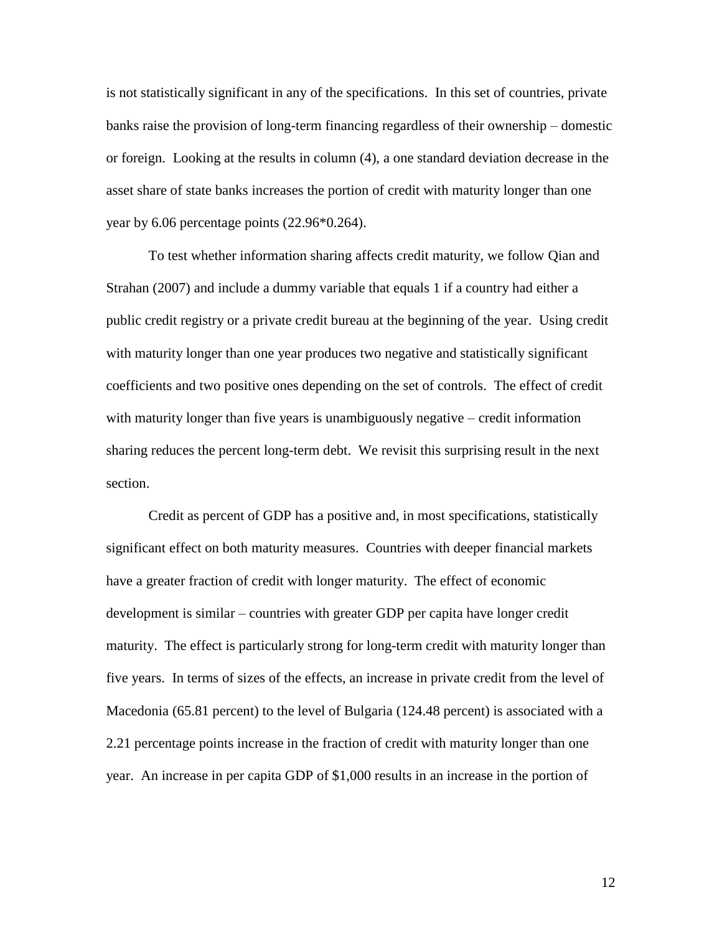is not statistically significant in any of the specifications. In this set of countries, private banks raise the provision of long-term financing regardless of their ownership – domestic or foreign. Looking at the results in column (4), a one standard deviation decrease in the asset share of state banks increases the portion of credit with maturity longer than one year by 6.06 percentage points (22.96\*0.264).

To test whether information sharing affects credit maturity, we follow Qian and Strahan (2007) and include a dummy variable that equals 1 if a country had either a public credit registry or a private credit bureau at the beginning of the year. Using credit with maturity longer than one year produces two negative and statistically significant coefficients and two positive ones depending on the set of controls. The effect of credit with maturity longer than five years is unambiguously negative – credit information sharing reduces the percent long-term debt. We revisit this surprising result in the next section.

Credit as percent of GDP has a positive and, in most specifications, statistically significant effect on both maturity measures. Countries with deeper financial markets have a greater fraction of credit with longer maturity. The effect of economic development is similar – countries with greater GDP per capita have longer credit maturity. The effect is particularly strong for long-term credit with maturity longer than five years. In terms of sizes of the effects, an increase in private credit from the level of Macedonia (65.81 percent) to the level of Bulgaria (124.48 percent) is associated with a 2.21 percentage points increase in the fraction of credit with maturity longer than one year. An increase in per capita GDP of \$1,000 results in an increase in the portion of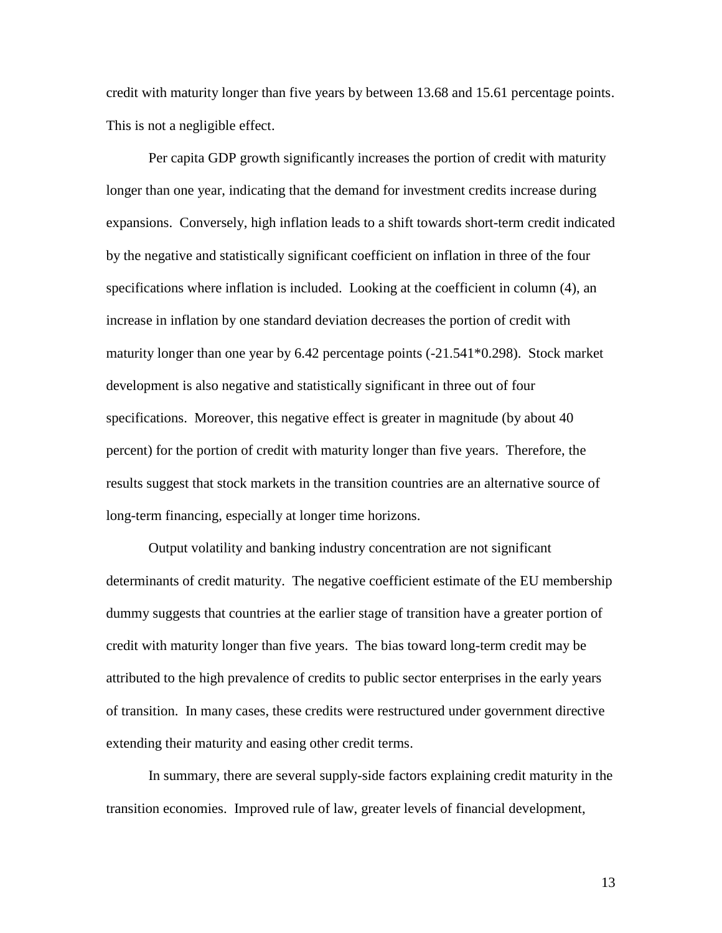credit with maturity longer than five years by between 13.68 and 15.61 percentage points. This is not a negligible effect.

Per capita GDP growth significantly increases the portion of credit with maturity longer than one year, indicating that the demand for investment credits increase during expansions. Conversely, high inflation leads to a shift towards short-term credit indicated by the negative and statistically significant coefficient on inflation in three of the four specifications where inflation is included. Looking at the coefficient in column (4), an increase in inflation by one standard deviation decreases the portion of credit with maturity longer than one year by 6.42 percentage points (-21.541\*0.298). Stock market development is also negative and statistically significant in three out of four specifications. Moreover, this negative effect is greater in magnitude (by about 40 percent) for the portion of credit with maturity longer than five years. Therefore, the results suggest that stock markets in the transition countries are an alternative source of long-term financing, especially at longer time horizons.

Output volatility and banking industry concentration are not significant determinants of credit maturity. The negative coefficient estimate of the EU membership dummy suggests that countries at the earlier stage of transition have a greater portion of credit with maturity longer than five years. The bias toward long-term credit may be attributed to the high prevalence of credits to public sector enterprises in the early years of transition. In many cases, these credits were restructured under government directive extending their maturity and easing other credit terms.

In summary, there are several supply-side factors explaining credit maturity in the transition economies. Improved rule of law, greater levels of financial development,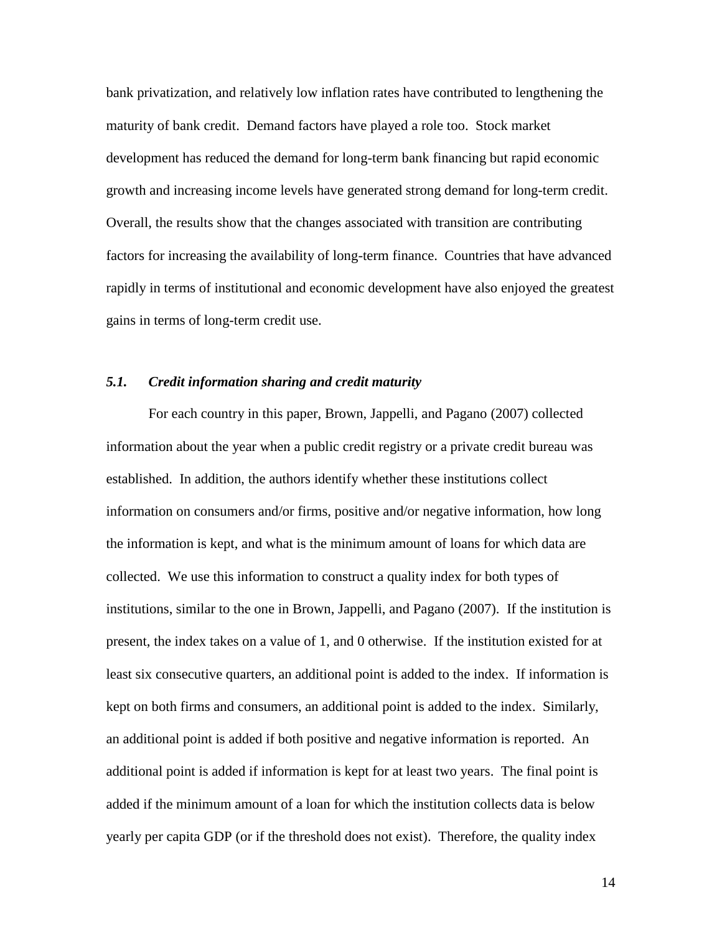bank privatization, and relatively low inflation rates have contributed to lengthening the maturity of bank credit. Demand factors have played a role too. Stock market development has reduced the demand for long-term bank financing but rapid economic growth and increasing income levels have generated strong demand for long-term credit. Overall, the results show that the changes associated with transition are contributing factors for increasing the availability of long-term finance. Countries that have advanced rapidly in terms of institutional and economic development have also enjoyed the greatest gains in terms of long-term credit use.

#### *5.1. Credit information sharing and credit maturity*

For each country in this paper, Brown, Jappelli, and Pagano (2007) collected information about the year when a public credit registry or a private credit bureau was established. In addition, the authors identify whether these institutions collect information on consumers and/or firms, positive and/or negative information, how long the information is kept, and what is the minimum amount of loans for which data are collected. We use this information to construct a quality index for both types of institutions, similar to the one in Brown, Jappelli, and Pagano (2007). If the institution is present, the index takes on a value of 1, and 0 otherwise. If the institution existed for at least six consecutive quarters, an additional point is added to the index. If information is kept on both firms and consumers, an additional point is added to the index. Similarly, an additional point is added if both positive and negative information is reported. An additional point is added if information is kept for at least two years. The final point is added if the minimum amount of a loan for which the institution collects data is below yearly per capita GDP (or if the threshold does not exist). Therefore, the quality index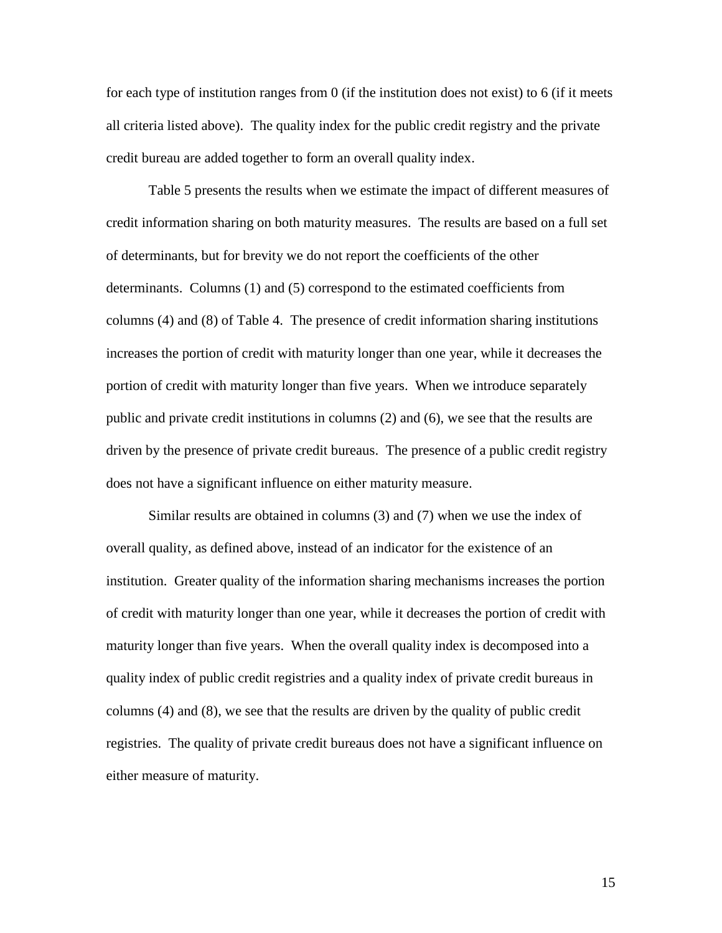for each type of institution ranges from 0 (if the institution does not exist) to 6 (if it meets all criteria listed above). The quality index for the public credit registry and the private credit bureau are added together to form an overall quality index.

Table 5 presents the results when we estimate the impact of different measures of credit information sharing on both maturity measures. The results are based on a full set of determinants, but for brevity we do not report the coefficients of the other determinants. Columns (1) and (5) correspond to the estimated coefficients from columns (4) and (8) of Table 4. The presence of credit information sharing institutions increases the portion of credit with maturity longer than one year, while it decreases the portion of credit with maturity longer than five years. When we introduce separately public and private credit institutions in columns (2) and (6), we see that the results are driven by the presence of private credit bureaus. The presence of a public credit registry does not have a significant influence on either maturity measure.

Similar results are obtained in columns (3) and (7) when we use the index of overall quality, as defined above, instead of an indicator for the existence of an institution. Greater quality of the information sharing mechanisms increases the portion of credit with maturity longer than one year, while it decreases the portion of credit with maturity longer than five years. When the overall quality index is decomposed into a quality index of public credit registries and a quality index of private credit bureaus in columns (4) and (8), we see that the results are driven by the quality of public credit registries. The quality of private credit bureaus does not have a significant influence on either measure of maturity.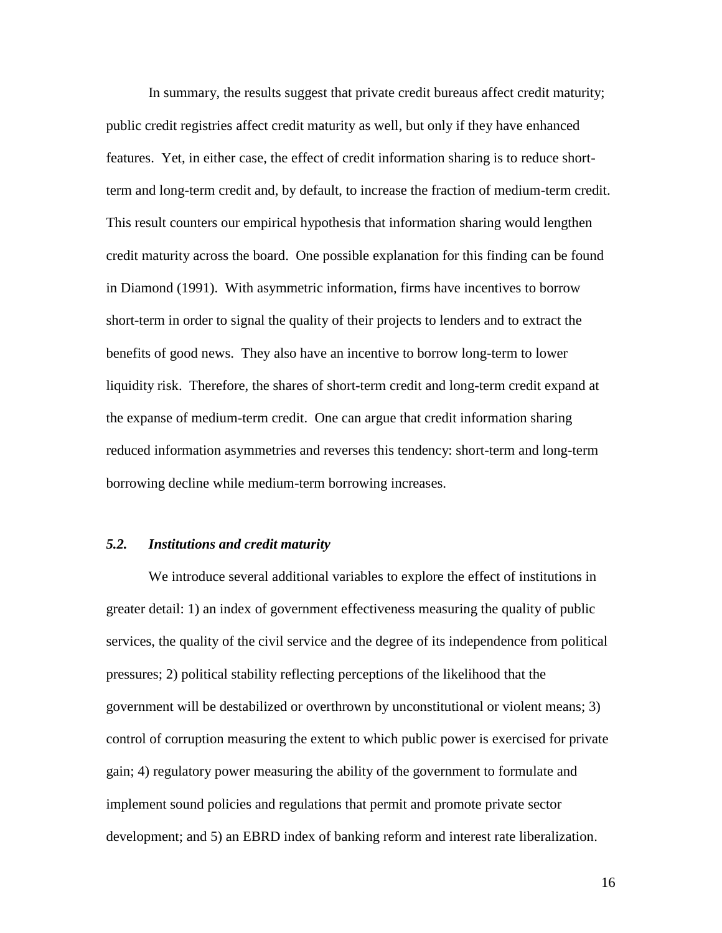In summary, the results suggest that private credit bureaus affect credit maturity; public credit registries affect credit maturity as well, but only if they have enhanced features. Yet, in either case, the effect of credit information sharing is to reduce shortterm and long-term credit and, by default, to increase the fraction of medium-term credit. This result counters our empirical hypothesis that information sharing would lengthen credit maturity across the board. One possible explanation for this finding can be found in Diamond (1991). With asymmetric information, firms have incentives to borrow short-term in order to signal the quality of their projects to lenders and to extract the benefits of good news. They also have an incentive to borrow long-term to lower liquidity risk. Therefore, the shares of short-term credit and long-term credit expand at the expanse of medium-term credit. One can argue that credit information sharing reduced information asymmetries and reverses this tendency: short-term and long-term borrowing decline while medium-term borrowing increases.

# *5.2. Institutions and credit maturity*

We introduce several additional variables to explore the effect of institutions in greater detail: 1) an index of government effectiveness measuring the quality of public services, the quality of the civil service and the degree of its independence from political pressures; 2) political stability reflecting perceptions of the likelihood that the government will be destabilized or overthrown by unconstitutional or violent means; 3) control of corruption measuring the extent to which public power is exercised for private gain; 4) regulatory power measuring the ability of the government to formulate and implement sound policies and regulations that permit and promote private sector development; and 5) an EBRD index of banking reform and interest rate liberalization.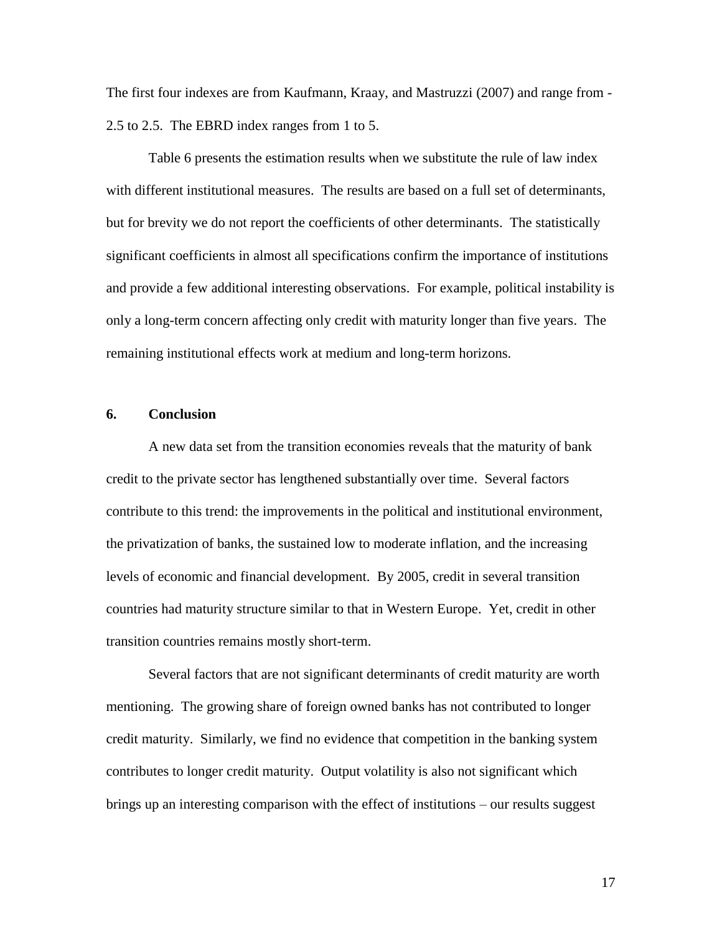The first four indexes are from Kaufmann, Kraay, and Mastruzzi (2007) and range from - 2.5 to 2.5. The EBRD index ranges from 1 to 5.

Table 6 presents the estimation results when we substitute the rule of law index with different institutional measures. The results are based on a full set of determinants, but for brevity we do not report the coefficients of other determinants. The statistically significant coefficients in almost all specifications confirm the importance of institutions and provide a few additional interesting observations. For example, political instability is only a long-term concern affecting only credit with maturity longer than five years. The remaining institutional effects work at medium and long-term horizons.

#### **6. Conclusion**

A new data set from the transition economies reveals that the maturity of bank credit to the private sector has lengthened substantially over time. Several factors contribute to this trend: the improvements in the political and institutional environment, the privatization of banks, the sustained low to moderate inflation, and the increasing levels of economic and financial development. By 2005, credit in several transition countries had maturity structure similar to that in Western Europe. Yet, credit in other transition countries remains mostly short-term.

Several factors that are not significant determinants of credit maturity are worth mentioning. The growing share of foreign owned banks has not contributed to longer credit maturity. Similarly, we find no evidence that competition in the banking system contributes to longer credit maturity. Output volatility is also not significant which brings up an interesting comparison with the effect of institutions – our results suggest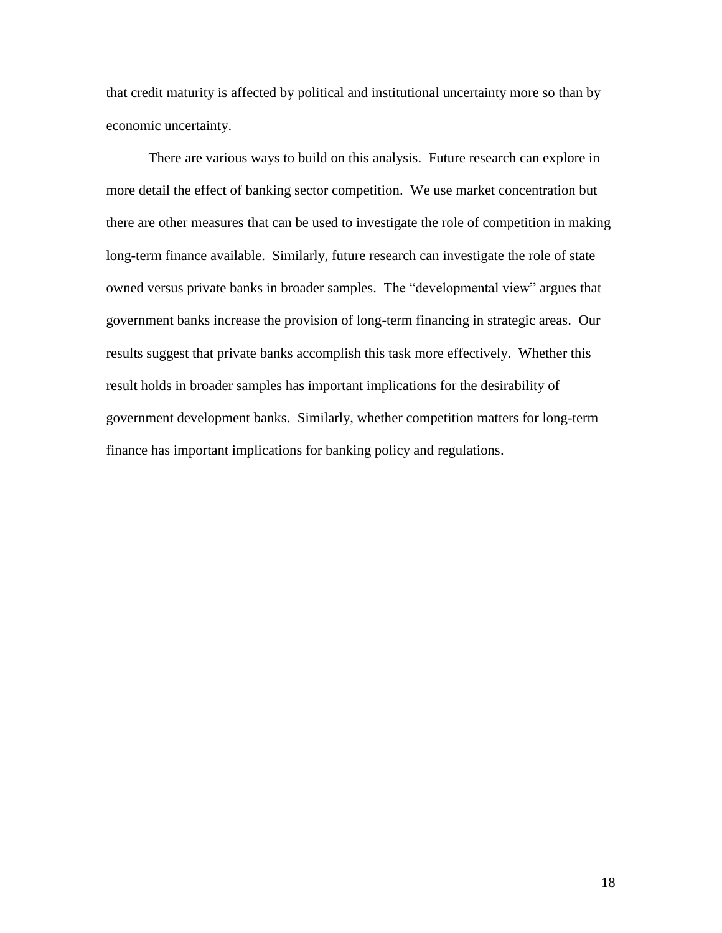that credit maturity is affected by political and institutional uncertainty more so than by economic uncertainty.

There are various ways to build on this analysis. Future research can explore in more detail the effect of banking sector competition. We use market concentration but there are other measures that can be used to investigate the role of competition in making long-term finance available. Similarly, future research can investigate the role of state owned versus private banks in broader samples. The "developmental view" argues that government banks increase the provision of long-term financing in strategic areas. Our results suggest that private banks accomplish this task more effectively. Whether this result holds in broader samples has important implications for the desirability of government development banks. Similarly, whether competition matters for long-term finance has important implications for banking policy and regulations.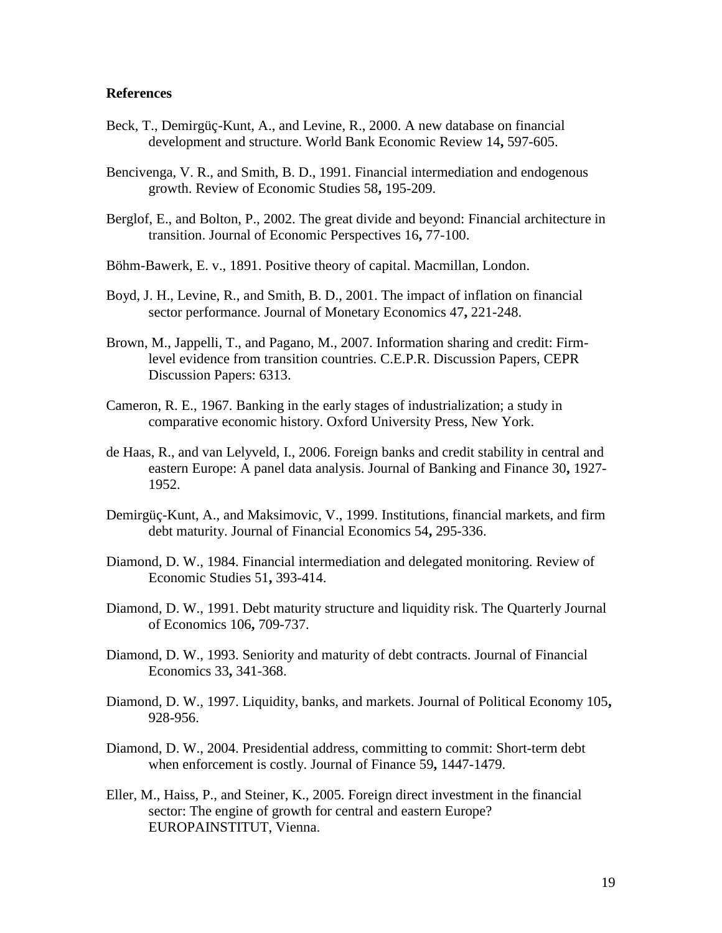#### **References**

- Beck, T., Demirgüç-Kunt, A., and Levine, R., 2000. A new database on financial development and structure. World Bank Economic Review 14**,** 597-605.
- Bencivenga, V. R., and Smith, B. D., 1991. Financial intermediation and endogenous growth. Review of Economic Studies 58**,** 195-209.
- Berglof, E., and Bolton, P., 2002. The great divide and beyond: Financial architecture in transition. Journal of Economic Perspectives 16**,** 77-100.
- Böhm-Bawerk, E. v., 1891. Positive theory of capital. Macmillan, London.
- Boyd, J. H., Levine, R., and Smith, B. D., 2001. The impact of inflation on financial sector performance. Journal of Monetary Economics 47**,** 221-248.
- Brown, M., Jappelli, T., and Pagano, M., 2007. Information sharing and credit: Firmlevel evidence from transition countries. C.E.P.R. Discussion Papers, CEPR Discussion Papers: 6313.
- Cameron, R. E., 1967. Banking in the early stages of industrialization; a study in comparative economic history. Oxford University Press, New York.
- de Haas, R., and van Lelyveld, I., 2006. Foreign banks and credit stability in central and eastern Europe: A panel data analysis. Journal of Banking and Finance 30**,** 1927- 1952.
- Demirgüç-Kunt, A., and Maksimovic, V., 1999. Institutions, financial markets, and firm debt maturity. Journal of Financial Economics 54**,** 295-336.
- Diamond, D. W., 1984. Financial intermediation and delegated monitoring. Review of Economic Studies 51**,** 393-414.
- Diamond, D. W., 1991. Debt maturity structure and liquidity risk. The Quarterly Journal of Economics 106**,** 709-737.
- Diamond, D. W., 1993. Seniority and maturity of debt contracts. Journal of Financial Economics 33**,** 341-368.
- Diamond, D. W., 1997. Liquidity, banks, and markets. Journal of Political Economy 105**,** 928-956.
- Diamond, D. W., 2004. Presidential address, committing to commit: Short-term debt when enforcement is costly. Journal of Finance 59**,** 1447-1479.
- Eller, M., Haiss, P., and Steiner, K., 2005. Foreign direct investment in the financial sector: The engine of growth for central and eastern Europe? EUROPAINSTITUT, Vienna.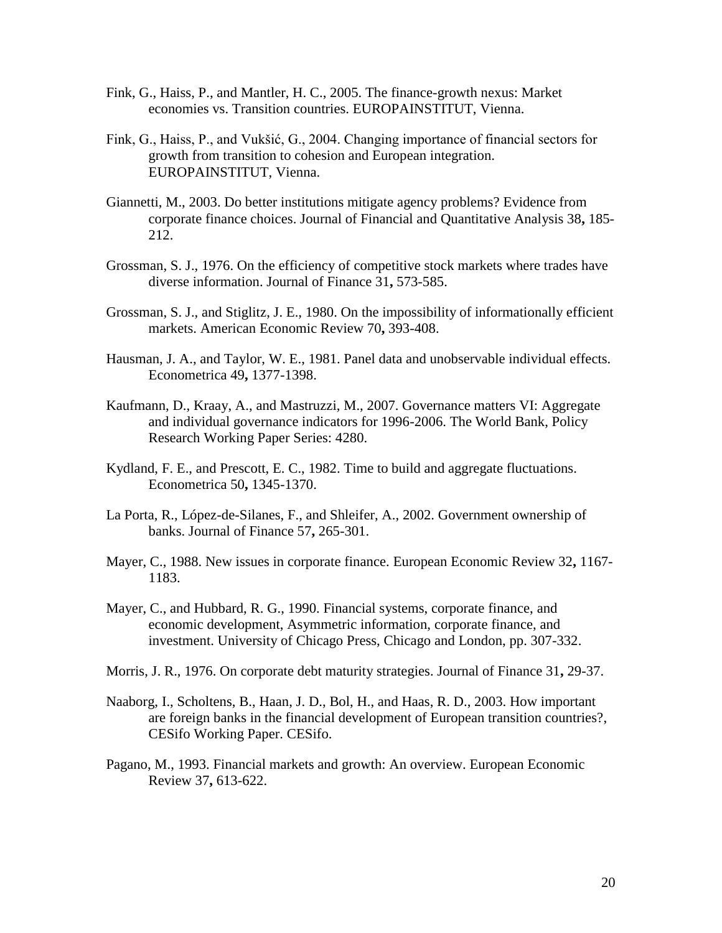- Fink, G., Haiss, P., and Mantler, H. C., 2005. The finance-growth nexus: Market economies vs. Transition countries. EUROPAINSTITUT, Vienna.
- Fink, G., Haiss, P., and Vukšić, G., 2004. Changing importance of financial sectors for growth from transition to cohesion and European integration. EUROPAINSTITUT, Vienna.
- Giannetti, M., 2003. Do better institutions mitigate agency problems? Evidence from corporate finance choices. Journal of Financial and Quantitative Analysis 38**,** 185- 212.
- Grossman, S. J., 1976. On the efficiency of competitive stock markets where trades have diverse information. Journal of Finance 31**,** 573-585.
- Grossman, S. J., and Stiglitz, J. E., 1980. On the impossibility of informationally efficient markets. American Economic Review 70**,** 393-408.
- Hausman, J. A., and Taylor, W. E., 1981. Panel data and unobservable individual effects. Econometrica 49**,** 1377-1398.
- Kaufmann, D., Kraay, A., and Mastruzzi, M., 2007. Governance matters VI: Aggregate and individual governance indicators for 1996-2006. The World Bank, Policy Research Working Paper Series: 4280.
- Kydland, F. E., and Prescott, E. C., 1982. Time to build and aggregate fluctuations. Econometrica 50**,** 1345-1370.
- La Porta, R., López-de-Silanes, F., and Shleifer, A., 2002. Government ownership of banks. Journal of Finance 57**,** 265-301.
- Mayer, C., 1988. New issues in corporate finance. European Economic Review 32**,** 1167- 1183.
- Mayer, C., and Hubbard, R. G., 1990. Financial systems, corporate finance, and economic development, Asymmetric information, corporate finance, and investment. University of Chicago Press, Chicago and London, pp. 307-332.
- Morris, J. R., 1976. On corporate debt maturity strategies. Journal of Finance 31**,** 29-37.
- Naaborg, I., Scholtens, B., Haan, J. D., Bol, H., and Haas, R. D., 2003. How important are foreign banks in the financial development of European transition countries?, CESifo Working Paper. CESifo.
- Pagano, M., 1993. Financial markets and growth: An overview. European Economic Review 37**,** 613-622.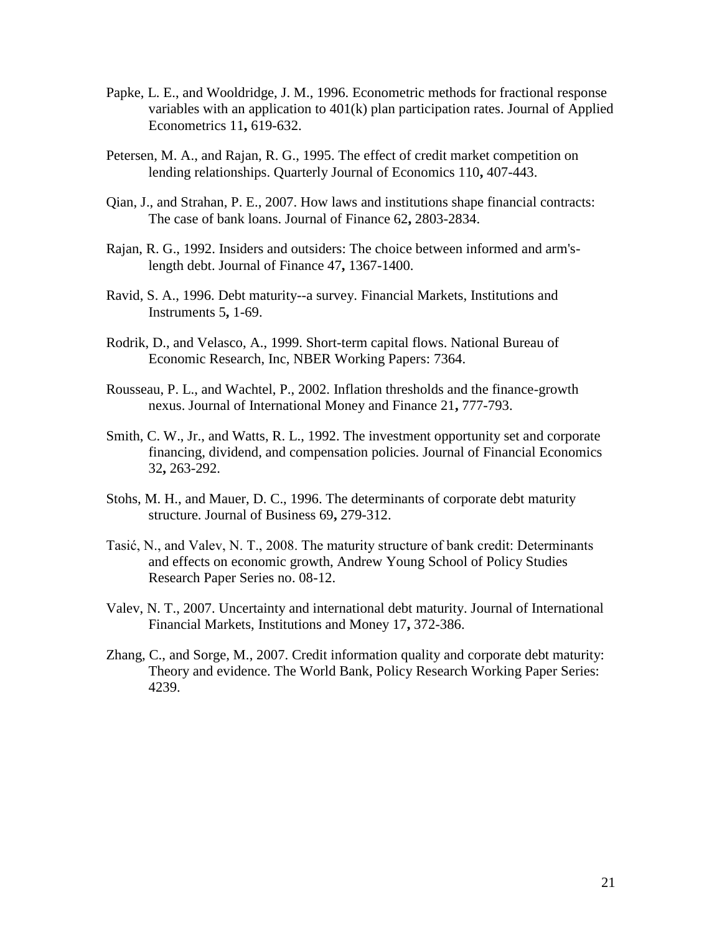- Papke, L. E., and Wooldridge, J. M., 1996. Econometric methods for fractional response variables with an application to 401(k) plan participation rates. Journal of Applied Econometrics 11**,** 619-632.
- Petersen, M. A., and Rajan, R. G., 1995. The effect of credit market competition on lending relationships. Quarterly Journal of Economics 110**,** 407-443.
- Qian, J., and Strahan, P. E., 2007. How laws and institutions shape financial contracts: The case of bank loans. Journal of Finance 62**,** 2803-2834.
- Rajan, R. G., 1992. Insiders and outsiders: The choice between informed and arm'slength debt. Journal of Finance 47**,** 1367-1400.
- Ravid, S. A., 1996. Debt maturity--a survey. Financial Markets, Institutions and Instruments 5**,** 1-69.
- Rodrik, D., and Velasco, A., 1999. Short-term capital flows. National Bureau of Economic Research, Inc, NBER Working Papers: 7364.
- Rousseau, P. L., and Wachtel, P., 2002. Inflation thresholds and the finance-growth nexus. Journal of International Money and Finance 21**,** 777-793.
- Smith, C. W., Jr., and Watts, R. L., 1992. The investment opportunity set and corporate financing, dividend, and compensation policies. Journal of Financial Economics 32**,** 263-292.
- Stohs, M. H., and Mauer, D. C., 1996. The determinants of corporate debt maturity structure. Journal of Business 69**,** 279-312.
- Tasić, N., and Valev, N. T., 2008. The maturity structure of bank credit: Determinants and effects on economic growth, Andrew Young School of Policy Studies Research Paper Series no. 08-12.
- Valev, N. T., 2007. Uncertainty and international debt maturity. Journal of International Financial Markets, Institutions and Money 17**,** 372-386.
- Zhang, C., and Sorge, M., 2007. Credit information quality and corporate debt maturity: Theory and evidence. The World Bank, Policy Research Working Paper Series: 4239.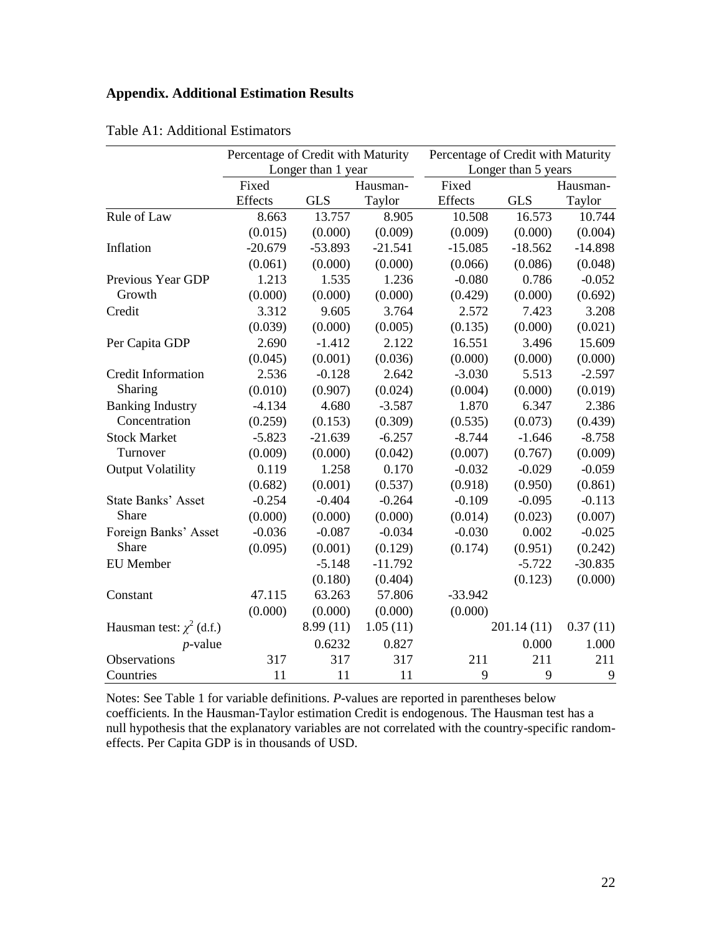# **Appendix. Additional Estimation Results**

|                               | Percentage of Credit with Maturity |                    |           | Percentage of Credit with Maturity |                     |           |  |
|-------------------------------|------------------------------------|--------------------|-----------|------------------------------------|---------------------|-----------|--|
|                               |                                    | Longer than 1 year |           |                                    | Longer than 5 years |           |  |
|                               | Fixed                              |                    | Hausman-  | Fixed                              |                     | Hausman-  |  |
|                               | Effects                            | <b>GLS</b>         | Taylor    | Effects                            | <b>GLS</b>          | Taylor    |  |
| Rule of Law                   | 8.663                              | 13.757             | 8.905     | 10.508                             | 16.573              | 10.744    |  |
|                               | (0.015)                            | (0.000)            | (0.009)   | (0.009)                            | (0.000)             | (0.004)   |  |
| Inflation                     | $-20.679$                          | $-53.893$          | $-21.541$ | $-15.085$                          | $-18.562$           | $-14.898$ |  |
|                               | (0.061)                            | (0.000)            | (0.000)   | (0.066)                            | (0.086)             | (0.048)   |  |
| Previous Year GDP             | 1.213                              | 1.535              | 1.236     | $-0.080$                           | 0.786               | $-0.052$  |  |
| Growth                        | (0.000)                            | (0.000)            | (0.000)   | (0.429)                            | (0.000)             | (0.692)   |  |
| Credit                        | 3.312                              | 9.605              | 3.764     | 2.572                              | 7.423               | 3.208     |  |
|                               | (0.039)                            | (0.000)            | (0.005)   | (0.135)                            | (0.000)             | (0.021)   |  |
| Per Capita GDP                | 2.690                              | $-1.412$           | 2.122     | 16.551                             | 3.496               | 15.609    |  |
|                               | (0.045)                            | (0.001)            | (0.036)   | (0.000)                            | (0.000)             | (0.000)   |  |
| <b>Credit Information</b>     | 2.536                              | $-0.128$           | 2.642     | $-3.030$                           | 5.513               | $-2.597$  |  |
| Sharing                       | (0.010)                            | (0.907)            | (0.024)   | (0.004)                            | (0.000)             | (0.019)   |  |
| <b>Banking Industry</b>       | $-4.134$                           | 4.680              | $-3.587$  | 1.870                              | 6.347               | 2.386     |  |
| Concentration                 | (0.259)                            | (0.153)            | (0.309)   | (0.535)                            | (0.073)             | (0.439)   |  |
| <b>Stock Market</b>           | $-5.823$                           | $-21.639$          | $-6.257$  | $-8.744$                           | $-1.646$            | $-8.758$  |  |
| Turnover                      | (0.009)                            | (0.000)            | (0.042)   | (0.007)                            | (0.767)             | (0.009)   |  |
| <b>Output Volatility</b>      | 0.119                              | 1.258              | 0.170     | $-0.032$                           | $-0.029$            | $-0.059$  |  |
|                               | (0.682)                            | (0.001)            | (0.537)   | (0.918)                            | (0.950)             | (0.861)   |  |
| <b>State Banks' Asset</b>     | $-0.254$                           | $-0.404$           | $-0.264$  | $-0.109$                           | $-0.095$            | $-0.113$  |  |
| Share                         | (0.000)                            | (0.000)            | (0.000)   | (0.014)                            | (0.023)             | (0.007)   |  |
| Foreign Banks' Asset          | $-0.036$                           | $-0.087$           | $-0.034$  | $-0.030$                           | 0.002               | $-0.025$  |  |
| Share                         | (0.095)                            | (0.001)            | (0.129)   | (0.174)                            | (0.951)             | (0.242)   |  |
| <b>EU</b> Member              |                                    | $-5.148$           | $-11.792$ |                                    | $-5.722$            | $-30.835$ |  |
|                               |                                    | (0.180)            | (0.404)   |                                    | (0.123)             | (0.000)   |  |
| Constant                      | 47.115                             | 63.263             | 57.806    | $-33.942$                          |                     |           |  |
|                               | (0.000)                            | (0.000)            | (0.000)   | (0.000)                            |                     |           |  |
| Hausman test: $\chi^2$ (d.f.) |                                    | 8.99(11)           | 1.05(11)  |                                    | 201.14(11)          | 0.37(11)  |  |
| $p$ -value                    |                                    | 0.6232             | 0.827     |                                    | 0.000               | 1.000     |  |
| Observations                  | 317                                | 317                | 317       | 211                                | 211                 | 211       |  |
| Countries                     | 11                                 | 11                 | 11        | 9                                  | 9                   | 9         |  |

Table A1: Additional Estimators

Notes: See Table 1 for variable definitions. *P*-values are reported in parentheses below coefficients. In the Hausman-Taylor estimation Credit is endogenous. The Hausman test has a null hypothesis that the explanatory variables are not correlated with the country-specific randomeffects. Per Capita GDP is in thousands of USD.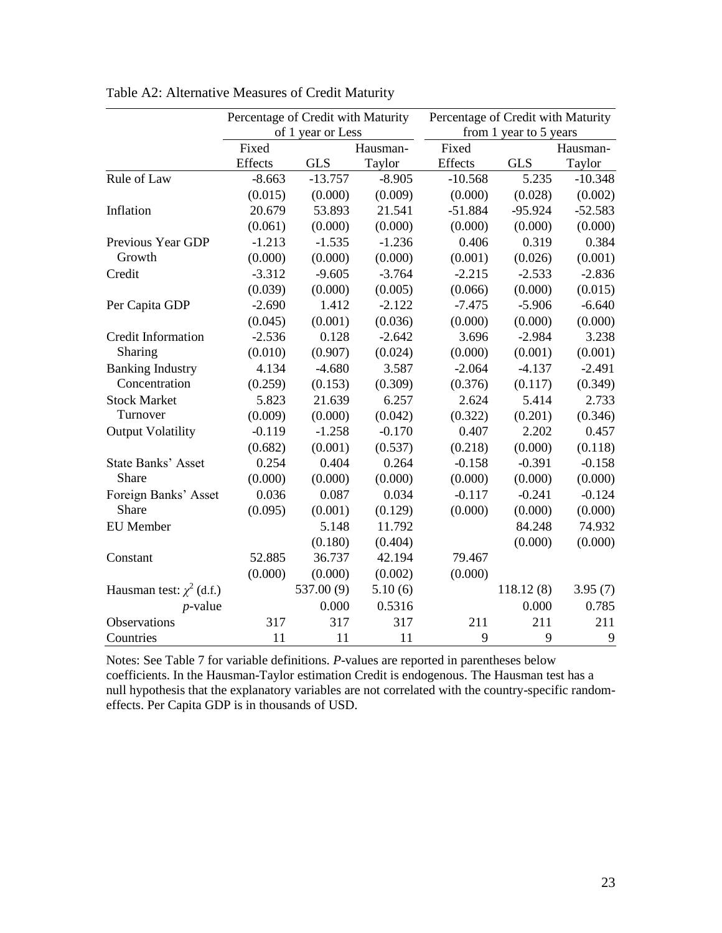|                               |          | Percentage of Credit with Maturity |          | Percentage of Credit with Maturity |                        |           |  |  |
|-------------------------------|----------|------------------------------------|----------|------------------------------------|------------------------|-----------|--|--|
|                               |          | of 1 year or Less                  |          |                                    | from 1 year to 5 years |           |  |  |
|                               | Fixed    |                                    | Hausman- | Fixed                              |                        | Hausman-  |  |  |
|                               | Effects  | <b>GLS</b>                         | Taylor   | Effects                            | <b>GLS</b>             | Taylor    |  |  |
| Rule of Law                   | $-8.663$ | $-13.757$                          | $-8.905$ | $-10.568$                          | 5.235                  | $-10.348$ |  |  |
|                               | (0.015)  | (0.000)                            | (0.009)  | (0.000)                            | (0.028)                | (0.002)   |  |  |
| Inflation                     | 20.679   | 53.893                             | 21.541   | $-51.884$                          | $-95.924$              | $-52.583$ |  |  |
|                               | (0.061)  | (0.000)                            | (0.000)  | (0.000)                            | (0.000)                | (0.000)   |  |  |
| Previous Year GDP             | $-1.213$ | $-1.535$                           | $-1.236$ | 0.406                              | 0.319                  | 0.384     |  |  |
| Growth                        | (0.000)  | (0.000)                            | (0.000)  | (0.001)                            | (0.026)                | (0.001)   |  |  |
| Credit                        | $-3.312$ | $-9.605$                           | $-3.764$ | $-2.215$                           | $-2.533$               | $-2.836$  |  |  |
|                               | (0.039)  | (0.000)                            | (0.005)  | (0.066)                            | (0.000)                | (0.015)   |  |  |
| Per Capita GDP                | $-2.690$ | 1.412                              | $-2.122$ | $-7.475$                           | $-5.906$               | $-6.640$  |  |  |
|                               | (0.045)  | (0.001)                            | (0.036)  | (0.000)                            | (0.000)                | (0.000)   |  |  |
| Credit Information            | $-2.536$ | 0.128                              | $-2.642$ | 3.696                              | $-2.984$               | 3.238     |  |  |
| Sharing                       | (0.010)  | (0.907)                            | (0.024)  | (0.000)                            | (0.001)                | (0.001)   |  |  |
| <b>Banking Industry</b>       | 4.134    | $-4.680$                           | 3.587    | $-2.064$                           | $-4.137$               | $-2.491$  |  |  |
| Concentration                 | (0.259)  | (0.153)                            | (0.309)  | (0.376)                            | (0.117)                | (0.349)   |  |  |
| <b>Stock Market</b>           | 5.823    | 21.639                             | 6.257    | 2.624                              | 5.414                  | 2.733     |  |  |
| Turnover                      | (0.009)  | (0.000)                            | (0.042)  | (0.322)                            | (0.201)                | (0.346)   |  |  |
| <b>Output Volatility</b>      | $-0.119$ | $-1.258$                           | $-0.170$ | 0.407                              | 2.202                  | 0.457     |  |  |
|                               | (0.682)  | (0.001)                            | (0.537)  | (0.218)                            | (0.000)                | (0.118)   |  |  |
| <b>State Banks' Asset</b>     | 0.254    | 0.404                              | 0.264    | $-0.158$                           | $-0.391$               | $-0.158$  |  |  |
| <b>Share</b>                  | (0.000)  | (0.000)                            | (0.000)  | (0.000)                            | (0.000)                | (0.000)   |  |  |
| Foreign Banks' Asset          | 0.036    | 0.087                              | 0.034    | $-0.117$                           | $-0.241$               | $-0.124$  |  |  |
| Share                         | (0.095)  | (0.001)                            | (0.129)  | (0.000)                            | (0.000)                | (0.000)   |  |  |
| <b>EU</b> Member              |          | 5.148                              | 11.792   |                                    | 84.248                 | 74.932    |  |  |
|                               |          | (0.180)                            | (0.404)  |                                    | (0.000)                | (0.000)   |  |  |
| Constant                      | 52.885   | 36.737                             | 42.194   | 79.467                             |                        |           |  |  |
|                               | (0.000)  | (0.000)                            | (0.002)  | (0.000)                            |                        |           |  |  |
| Hausman test: $\chi^2$ (d.f.) |          | 537.00 (9)                         | 5.10(6)  |                                    | 118.12(8)              | 3.95(7)   |  |  |
| $p$ -value                    |          | 0.000                              | 0.5316   |                                    | 0.000                  | 0.785     |  |  |
| Observations                  | 317      | 317                                | 317      | 211                                | 211                    | 211       |  |  |
| Countries                     | 11       | 11                                 | 11       | 9                                  | 9                      | 9         |  |  |

Table A2: Alternative Measures of Credit Maturity

Notes: See Table 7 for variable definitions. *P*-values are reported in parentheses below coefficients. In the Hausman-Taylor estimation Credit is endogenous. The Hausman test has a null hypothesis that the explanatory variables are not correlated with the country-specific randomeffects. Per Capita GDP is in thousands of USD.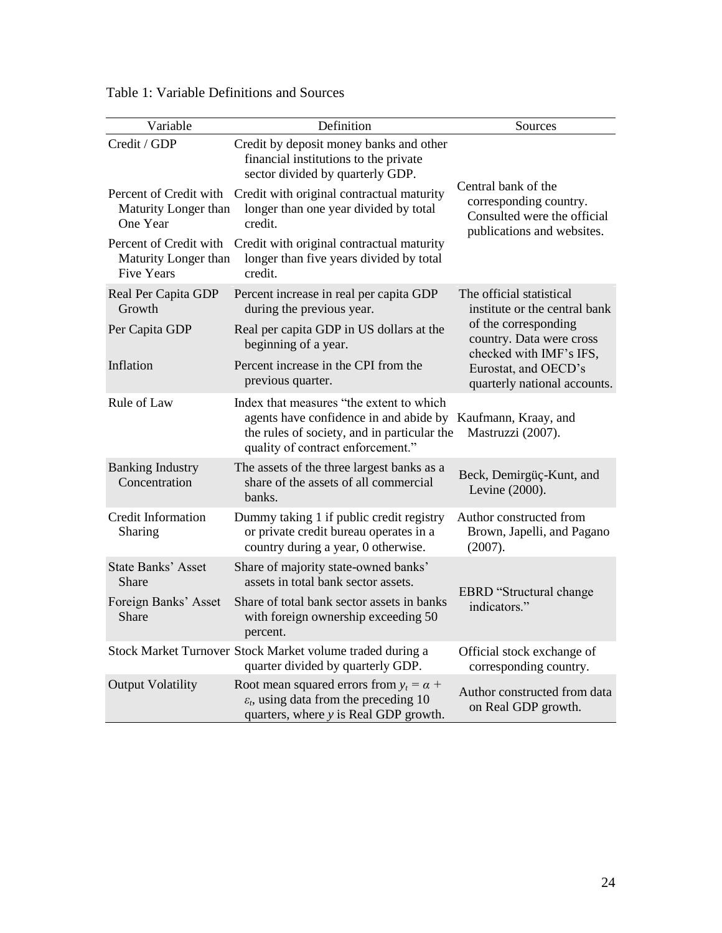| Variable                                                            | Definition                                                                                                                                                             | Sources                                                                                                    |
|---------------------------------------------------------------------|------------------------------------------------------------------------------------------------------------------------------------------------------------------------|------------------------------------------------------------------------------------------------------------|
| Credit / GDP                                                        | Credit by deposit money banks and other<br>financial institutions to the private<br>sector divided by quarterly GDP.                                                   |                                                                                                            |
| Percent of Credit with<br>Maturity Longer than<br>One Year          | Credit with original contractual maturity<br>longer than one year divided by total<br>credit.                                                                          | Central bank of the<br>corresponding country.<br>Consulted were the official<br>publications and websites. |
| Percent of Credit with<br>Maturity Longer than<br><b>Five Years</b> | Credit with original contractual maturity<br>longer than five years divided by total<br>credit.                                                                        |                                                                                                            |
| Real Per Capita GDP<br>Growth                                       | Percent increase in real per capita GDP<br>during the previous year.                                                                                                   | The official statistical<br>institute or the central bank                                                  |
| Per Capita GDP                                                      | Real per capita GDP in US dollars at the<br>beginning of a year.                                                                                                       | of the corresponding<br>country. Data were cross<br>checked with IMF's IFS,                                |
| Inflation                                                           | Percent increase in the CPI from the<br>previous quarter.                                                                                                              | Eurostat, and OECD's<br>quarterly national accounts.                                                       |
| Rule of Law                                                         | Index that measures "the extent to which<br>agents have confidence in and abide by<br>the rules of society, and in particular the<br>quality of contract enforcement." | Kaufmann, Kraay, and<br>Mastruzzi (2007).                                                                  |
| <b>Banking Industry</b><br>Concentration                            | The assets of the three largest banks as a<br>share of the assets of all commercial<br>banks.                                                                          | Beck, Demirgüç-Kunt, and<br>Levine (2000).                                                                 |
| <b>Credit Information</b><br>Sharing                                | Dummy taking 1 if public credit registry<br>or private credit bureau operates in a<br>country during a year, 0 otherwise.                                              | Author constructed from<br>Brown, Japelli, and Pagano<br>(2007).                                           |
| <b>State Banks' Asset</b><br>Share                                  | Share of majority state-owned banks'<br>assets in total bank sector assets.                                                                                            | <b>EBRD</b> "Structural change                                                                             |
| Foreign Banks' Asset<br>Share                                       | Share of total bank sector assets in banks<br>with foreign ownership exceeding 50<br>percent.                                                                          | indicators."                                                                                               |
|                                                                     | Stock Market Turnover Stock Market volume traded during a<br>quarter divided by quarterly GDP.                                                                         | Official stock exchange of<br>corresponding country.                                                       |
| <b>Output Volatility</b>                                            | Root mean squared errors from $y_t = \alpha +$<br>$\varepsilon_t$ , using data from the preceding 10<br>quarters, where y is Real GDP growth.                          | Author constructed from data<br>on Real GDP growth.                                                        |

Table 1: Variable Definitions and Sources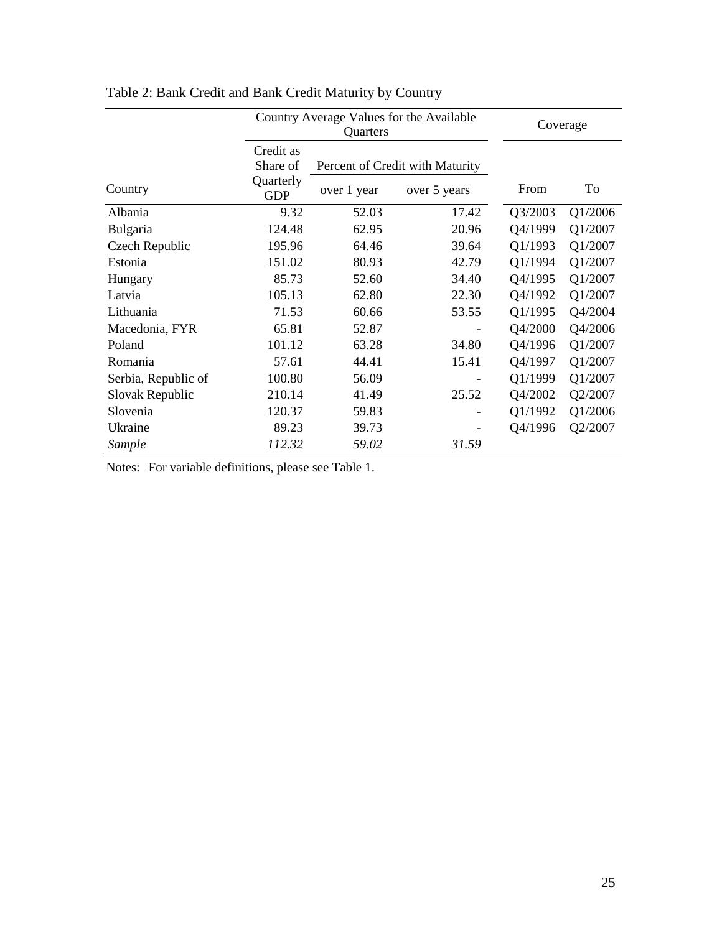|                     | Coverage                                         |             |                                                 |         |         |
|---------------------|--------------------------------------------------|-------------|-------------------------------------------------|---------|---------|
| Country             | Credit as<br>Share of<br>Quarterly<br><b>GDP</b> | over 1 year | Percent of Credit with Maturity<br>over 5 years | From    | To      |
| Albania             | 9.32                                             | 52.03       | 17.42                                           | Q3/2003 | Q1/2006 |
| Bulgaria            | 124.48                                           | 62.95       | 20.96                                           | Q4/1999 | Q1/2007 |
| Czech Republic      | 195.96                                           | 64.46       | 39.64                                           | Q1/1993 | Q1/2007 |
| Estonia             | 151.02                                           | 80.93       | 42.79                                           | Q1/1994 | Q1/2007 |
| Hungary             | 85.73                                            | 52.60       | 34.40                                           | Q4/1995 | Q1/2007 |
| Latvia              | 105.13                                           | 62.80       | 22.30                                           | Q4/1992 | Q1/2007 |
| Lithuania           | 71.53                                            | 60.66       | 53.55                                           | Q1/1995 | Q4/2004 |
| Macedonia, FYR      | 65.81                                            | 52.87       |                                                 | Q4/2000 | Q4/2006 |
| Poland              | 101.12                                           | 63.28       | 34.80                                           | Q4/1996 | Q1/2007 |
| Romania             | 57.61                                            | 44.41       | 15.41                                           | Q4/1997 | Q1/2007 |
| Serbia, Republic of | 100.80                                           | 56.09       |                                                 | Q1/1999 | Q1/2007 |
| Slovak Republic     | 210.14                                           | 41.49       | 25.52                                           | Q4/2002 | Q2/2007 |
| Slovenia            | 120.37                                           | 59.83       |                                                 | Q1/1992 | Q1/2006 |
| Ukraine             | 89.23                                            | 39.73       |                                                 | Q4/1996 | Q2/2007 |
| Sample              | 112.32                                           | 59.02       | 31.59                                           |         |         |

| Table 2: Bank Credit and Bank Credit Maturity by Country |
|----------------------------------------------------------|
|----------------------------------------------------------|

Notes: For variable definitions, please see Table 1.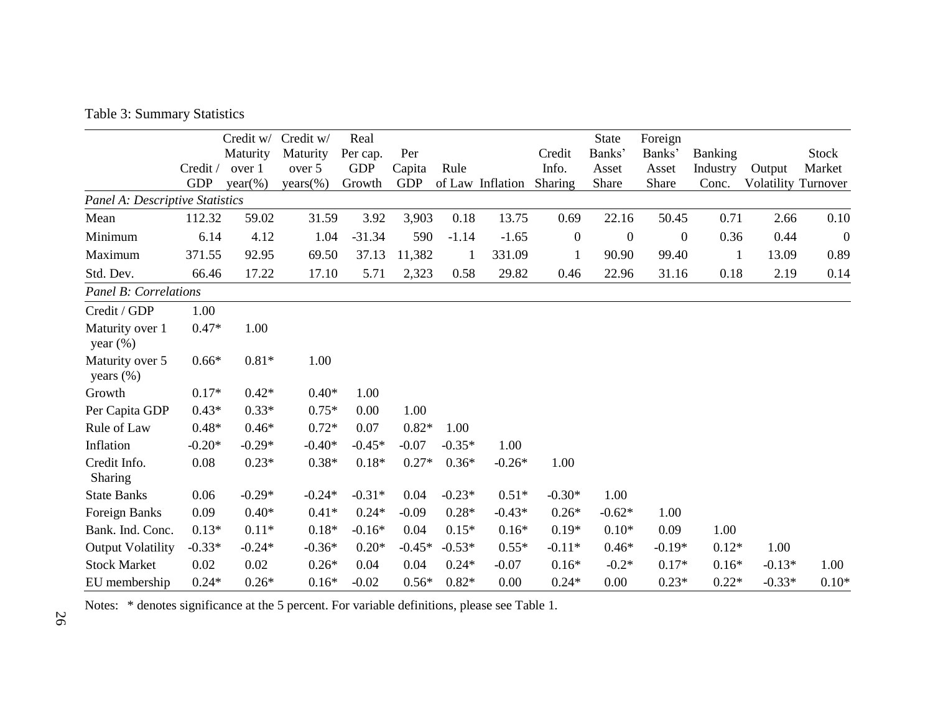Table 3: Summary Statistics

|                                 |            | Credit w/  | Credit w/  | Real       |            |          |                  |                  | <b>State</b>     | Foreign          |                |                            |                |
|---------------------------------|------------|------------|------------|------------|------------|----------|------------------|------------------|------------------|------------------|----------------|----------------------------|----------------|
|                                 |            | Maturity   | Maturity   | Per cap.   | Per        |          |                  | Credit           | Banks'           | Banks'           | <b>Banking</b> |                            | <b>Stock</b>   |
|                                 | Credit /   | over 1     | over 5     | <b>GDP</b> | Capita     | Rule     |                  | Info.            | Asset            | Asset            | Industry       | Output                     | Market         |
|                                 | <b>GDP</b> | $year(\%)$ | $years$ %) | Growth     | <b>GDP</b> |          | of Law Inflation | Sharing          | Share            | Share            | Conc.          | <b>Volatility Turnover</b> |                |
| Panel A: Descriptive Statistics |            |            |            |            |            |          |                  |                  |                  |                  |                |                            |                |
| Mean                            | 112.32     | 59.02      | 31.59      | 3.92       | 3,903      | 0.18     | 13.75            | 0.69             | 22.16            | 50.45            | 0.71           | 2.66                       | 0.10           |
| Minimum                         | 6.14       | 4.12       | 1.04       | $-31.34$   | 590        | $-1.14$  | $-1.65$          | $\boldsymbol{0}$ | $\boldsymbol{0}$ | $\boldsymbol{0}$ | 0.36           | 0.44                       | $\overline{0}$ |
| Maximum                         | 371.55     | 92.95      | 69.50      | 37.13      | 11,382     | 1        | 331.09           | 1                | 90.90            | 99.40            | 1              | 13.09                      | 0.89           |
| Std. Dev.                       | 66.46      | 17.22      | 17.10      | 5.71       | 2,323      | 0.58     | 29.82            | 0.46             | 22.96            | 31.16            | 0.18           | 2.19                       | 0.14           |
| <b>Panel B: Correlations</b>    |            |            |            |            |            |          |                  |                  |                  |                  |                |                            |                |
| Credit / GDP                    | 1.00       |            |            |            |            |          |                  |                  |                  |                  |                |                            |                |
| Maturity over 1<br>year $(\%)$  | $0.47*$    | 1.00       |            |            |            |          |                  |                  |                  |                  |                |                            |                |
| Maturity over 5<br>years $(\%)$ | $0.66*$    | $0.81*$    | 1.00       |            |            |          |                  |                  |                  |                  |                |                            |                |
| Growth                          | $0.17*$    | $0.42*$    | $0.40*$    | 1.00       |            |          |                  |                  |                  |                  |                |                            |                |
| Per Capita GDP                  | $0.43*$    | $0.33*$    | $0.75*$    | 0.00       | 1.00       |          |                  |                  |                  |                  |                |                            |                |
| Rule of Law                     | $0.48*$    | $0.46*$    | $0.72*$    | 0.07       | $0.82*$    | 1.00     |                  |                  |                  |                  |                |                            |                |
| Inflation                       | $-0.20*$   | $-0.29*$   | $-0.40*$   | $-0.45*$   | $-0.07$    | $-0.35*$ | 1.00             |                  |                  |                  |                |                            |                |
| Credit Info.<br><b>Sharing</b>  | 0.08       | $0.23*$    | $0.38*$    | $0.18*$    | $0.27*$    | $0.36*$  | $-0.26*$         | 1.00             |                  |                  |                |                            |                |
| <b>State Banks</b>              | 0.06       | $-0.29*$   | $-0.24*$   | $-0.31*$   | 0.04       | $-0.23*$ | $0.51*$          | $-0.30*$         | 1.00             |                  |                |                            |                |
| Foreign Banks                   | 0.09       | $0.40*$    | $0.41*$    | $0.24*$    | $-0.09$    | $0.28*$  | $-0.43*$         | $0.26*$          | $-0.62*$         | 1.00             |                |                            |                |
| Bank. Ind. Conc.                | $0.13*$    | $0.11*$    | $0.18*$    | $-0.16*$   | 0.04       | $0.15*$  | $0.16*$          | $0.19*$          | $0.10*$          | 0.09             | 1.00           |                            |                |
| <b>Output Volatility</b>        | $-0.33*$   | $-0.24*$   | $-0.36*$   | $0.20*$    | $-0.45*$   | $-0.53*$ | $0.55*$          | $-0.11*$         | $0.46*$          | $-0.19*$         | $0.12*$        | 1.00                       |                |
| <b>Stock Market</b>             | 0.02       | 0.02       | $0.26*$    | 0.04       | 0.04       | $0.24*$  | $-0.07$          | $0.16*$          | $-0.2*$          | $0.17*$          | $0.16*$        | $-0.13*$                   | 1.00           |
| EU membership                   | $0.24*$    | $0.26*$    | $0.16*$    | $-0.02$    | $0.56*$    | $0.82*$  | 0.00             | $0.24*$          | 0.00             | $0.23*$          | $0.22*$        | $-0.33*$                   | $0.10*$        |

Notes: \* denotes significance at the 5 percent. For variable definitions, please see Table 1.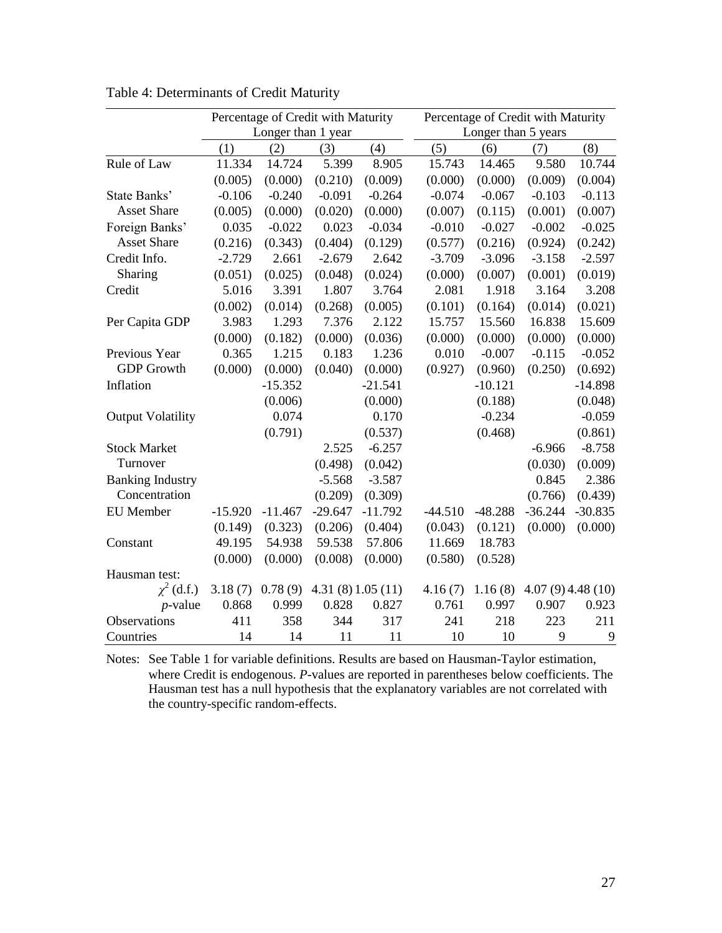|                          |           | Percentage of Credit with Maturity |           |                 |                     | Percentage of Credit with Maturity |                 |           |  |
|--------------------------|-----------|------------------------------------|-----------|-----------------|---------------------|------------------------------------|-----------------|-----------|--|
|                          |           | Longer than 1 year                 |           |                 | Longer than 5 years |                                    |                 |           |  |
|                          | (1)       | (2)                                | (3)       | (4)             | (5)                 | (6)                                | (7)             | (8)       |  |
| Rule of Law              | 11.334    | 14.724                             | 5.399     | 8.905           | 15.743              | 14.465                             | 9.580           | 10.744    |  |
|                          | (0.005)   | (0.000)                            | (0.210)   | (0.009)         | (0.000)             | (0.000)                            | (0.009)         | (0.004)   |  |
| State Banks'             | $-0.106$  | $-0.240$                           | $-0.091$  | $-0.264$        | $-0.074$            | $-0.067$                           | $-0.103$        | $-0.113$  |  |
| <b>Asset Share</b>       | (0.005)   | (0.000)                            | (0.020)   | (0.000)         | (0.007)             | (0.115)                            | (0.001)         | (0.007)   |  |
| Foreign Banks'           | 0.035     | $-0.022$                           | 0.023     | $-0.034$        | $-0.010$            | $-0.027$                           | $-0.002$        | $-0.025$  |  |
| <b>Asset Share</b>       | (0.216)   | (0.343)                            | (0.404)   | (0.129)         | (0.577)             | (0.216)                            | (0.924)         | (0.242)   |  |
| Credit Info.             | $-2.729$  | 2.661                              | $-2.679$  | 2.642           | $-3.709$            | $-3.096$                           | $-3.158$        | $-2.597$  |  |
| Sharing                  | (0.051)   | (0.025)                            | (0.048)   | (0.024)         | (0.000)             | (0.007)                            | (0.001)         | (0.019)   |  |
| Credit                   | 5.016     | 3.391                              | 1.807     | 3.764           | 2.081               | 1.918                              | 3.164           | 3.208     |  |
|                          | (0.002)   | (0.014)                            | (0.268)   | (0.005)         | (0.101)             | (0.164)                            | (0.014)         | (0.021)   |  |
| Per Capita GDP           | 3.983     | 1.293                              | 7.376     | 2.122           | 15.757              | 15.560                             | 16.838          | 15.609    |  |
|                          | (0.000)   | (0.182)                            | (0.000)   | (0.036)         | (0.000)             | (0.000)                            | (0.000)         | (0.000)   |  |
| Previous Year            | 0.365     | 1.215                              | 0.183     | 1.236           | 0.010               | $-0.007$                           | $-0.115$        | $-0.052$  |  |
| <b>GDP</b> Growth        | (0.000)   | (0.000)                            | (0.040)   | (0.000)         | (0.927)             | (0.960)                            | (0.250)         | (0.692)   |  |
| Inflation                |           | $-15.352$                          |           | $-21.541$       |                     | $-10.121$                          |                 | $-14.898$ |  |
|                          |           | (0.006)                            |           | (0.000)         |                     | (0.188)                            |                 | (0.048)   |  |
| <b>Output Volatility</b> |           | 0.074                              |           | 0.170           |                     | $-0.234$                           |                 | $-0.059$  |  |
|                          |           | (0.791)                            |           | (0.537)         |                     | (0.468)                            |                 | (0.861)   |  |
| <b>Stock Market</b>      |           |                                    | 2.525     | $-6.257$        |                     |                                    | $-6.966$        | $-8.758$  |  |
| Turnover                 |           |                                    | (0.498)   | (0.042)         |                     |                                    | (0.030)         | (0.009)   |  |
| <b>Banking Industry</b>  |           |                                    | $-5.568$  | $-3.587$        |                     |                                    | 0.845           | 2.386     |  |
| Concentration            |           |                                    | (0.209)   | (0.309)         |                     |                                    | (0.766)         | (0.439)   |  |
| <b>EU</b> Member         | $-15.920$ | $-11.467$                          | $-29.647$ | $-11.792$       | $-44.510$           | $-48.288$                          | $-36.244$       | $-30.835$ |  |
|                          | (0.149)   | (0.323)                            | (0.206)   | (0.404)         | (0.043)             | (0.121)                            | (0.000)         | (0.000)   |  |
| Constant                 | 49.195    | 54.938                             | 59.538    | 57.806          | 11.669              | 18.783                             |                 |           |  |
|                          | (0.000)   | (0.000)                            | (0.008)   | (0.000)         | (0.580)             | (0.528)                            |                 |           |  |
| Hausman test:            |           |                                    |           |                 |                     |                                    |                 |           |  |
| $\chi^2$ (d.f.)          | 3.18(7)   | 0.78(9)                            |           | 4.31(8)1.05(11) | 4.16(7)             | 1.16(8)                            | 4.07(9)4.48(10) |           |  |
| $p$ -value               | 0.868     | 0.999                              | 0.828     | 0.827           | 0.761               | 0.997                              | 0.907           | 0.923     |  |
| Observations             | 411       | 358                                | 344       | 317             | 241                 | 218                                | 223             | 211       |  |
| Countries                | 14        | 14                                 | 11        | 11              | 10                  | 10                                 | 9               | 9         |  |

Table 4: Determinants of Credit Maturity

Notes: See Table 1 for variable definitions. Results are based on Hausman-Taylor estimation, where Credit is endogenous. *P*-values are reported in parentheses below coefficients. The Hausman test has a null hypothesis that the explanatory variables are not correlated with the country-specific random-effects.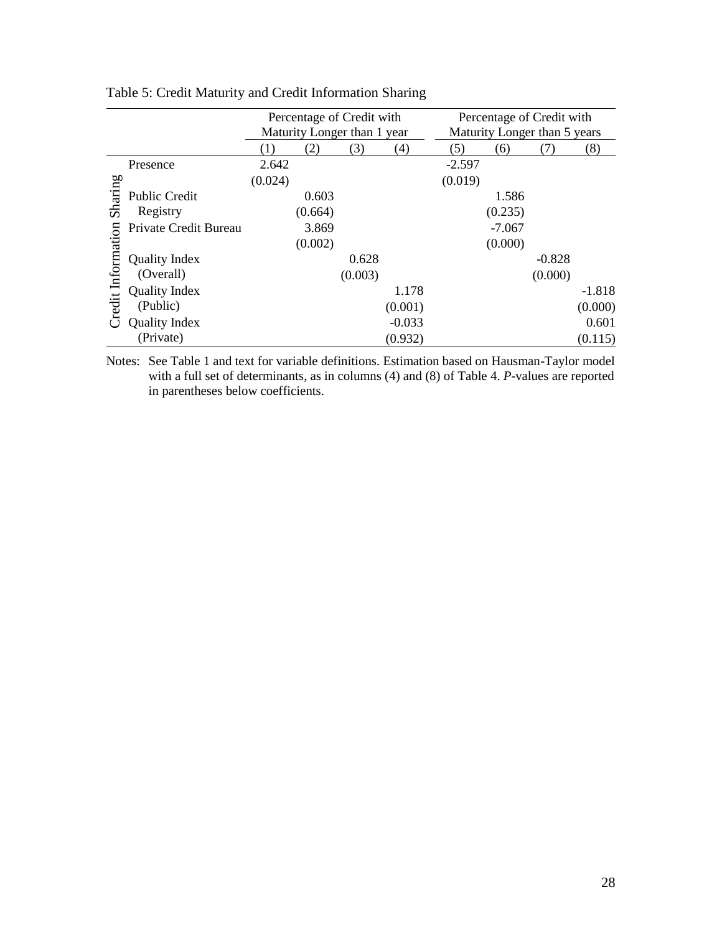|                   |                       |         |         | Percentage of Credit with   |          | Percentage of Credit with |                              |          |          |
|-------------------|-----------------------|---------|---------|-----------------------------|----------|---------------------------|------------------------------|----------|----------|
|                   |                       |         |         | Maturity Longer than 1 year |          |                           | Maturity Longer than 5 years |          |          |
|                   |                       | (1)     | (2)     | (3)                         | (4)      | (5)                       | (6)                          |          | (8)      |
|                   | Presence              | 2.642   |         |                             |          | $-2.597$                  |                              |          |          |
|                   |                       | (0.024) |         |                             |          | (0.019)                   |                              |          |          |
| Sharing           | <b>Public Credit</b>  |         | 0.603   |                             |          |                           | 1.586                        |          |          |
|                   | Registry              |         | (0.664) |                             |          |                           | (0.235)                      |          |          |
|                   | Private Credit Bureau |         | 3.869   |                             |          |                           | $-7.067$                     |          |          |
|                   |                       |         | (0.002) |                             |          |                           | (0.000)                      |          |          |
| redit Information | Quality Index         |         |         | 0.628                       |          |                           |                              | $-0.828$ |          |
|                   | (Overall)             |         |         | (0.003)                     |          |                           |                              | (0.000)  |          |
|                   | <b>Quality Index</b>  |         |         |                             | 1.178    |                           |                              |          | $-1.818$ |
|                   | (Public)              |         |         |                             | (0.001)  |                           |                              |          | (0.000)  |
|                   | <b>Quality Index</b>  |         |         |                             | $-0.033$ |                           |                              |          | 0.601    |
|                   | (Private)             |         |         |                             | (0.932)  |                           |                              |          | (0.115)  |

Table 5: Credit Maturity and Credit Information Sharing

Notes: See Table 1 and text for variable definitions. Estimation based on Hausman-Taylor model with a full set of determinants, as in columns (4) and (8) of Table 4. *P*-values are reported in parentheses below coefficients.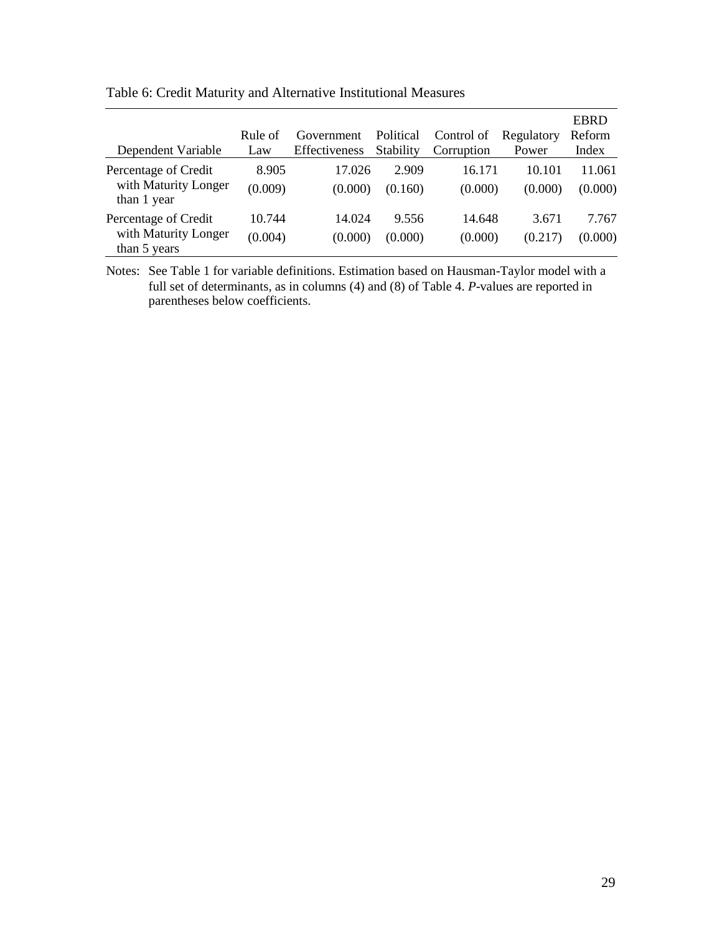| Dependent Variable                                           | Rule of<br>Law    | Government<br>Effectiveness | Political<br>Stability | Control of<br>Corruption | Regulatory<br>Power | <b>EBRD</b><br>Reform<br>Index |
|--------------------------------------------------------------|-------------------|-----------------------------|------------------------|--------------------------|---------------------|--------------------------------|
| Percentage of Credit<br>with Maturity Longer<br>than 1 year  | 8.905<br>(0.009)  | 17.026<br>(0.000)           | 2.909<br>(0.160)       | 16.171<br>(0.000)        | 10.101<br>(0.000)   | 11.061<br>(0.000)              |
| Percentage of Credit<br>with Maturity Longer<br>than 5 years | 10.744<br>(0.004) | 14.024<br>(0.000)           | 9.556<br>(0.000)       | 14.648<br>(0.000)        | 3.671<br>(0.217)    | 7.767<br>(0.000)               |

Table 6: Credit Maturity and Alternative Institutional Measures

Notes: See Table 1 for variable definitions. Estimation based on Hausman-Taylor model with a full set of determinants, as in columns (4) and (8) of Table 4. *P*-values are reported in parentheses below coefficients.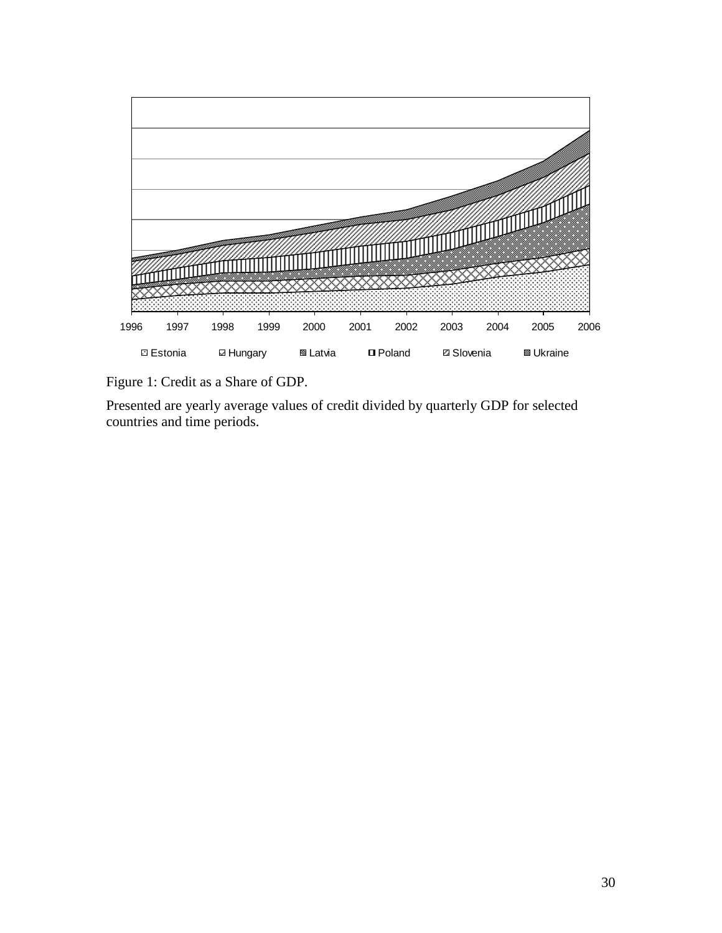

Figure 1: Credit as a Share of GDP.

Presented are yearly average values of credit divided by quarterly GDP for selected countries and time periods.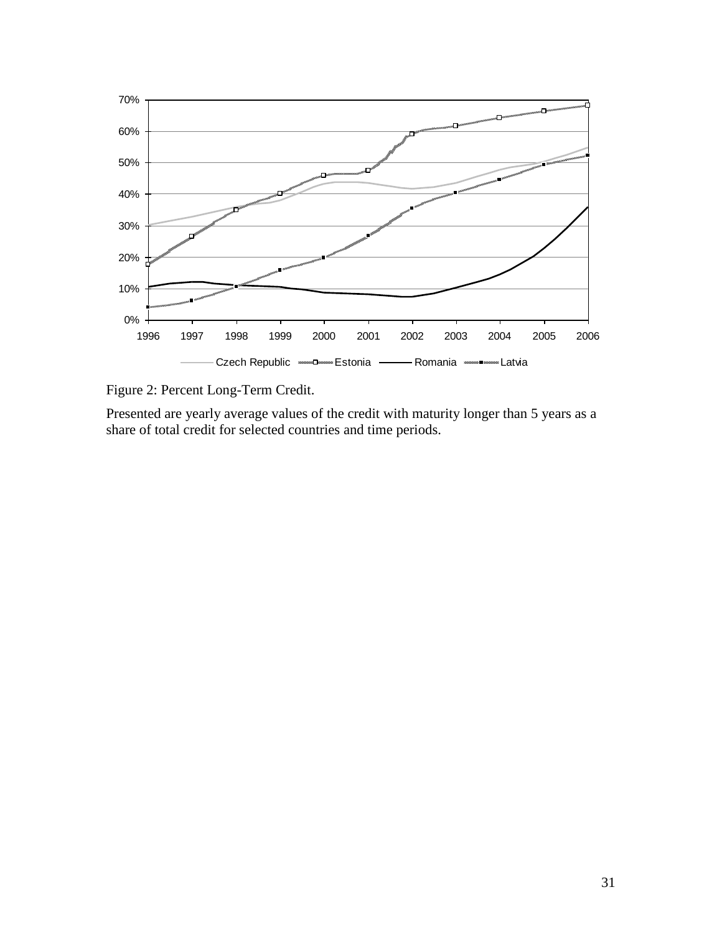

Figure 2: Percent Long-Term Credit.

Presented are yearly average values of the credit with maturity longer than 5 years as a share of total credit for selected countries and time periods.